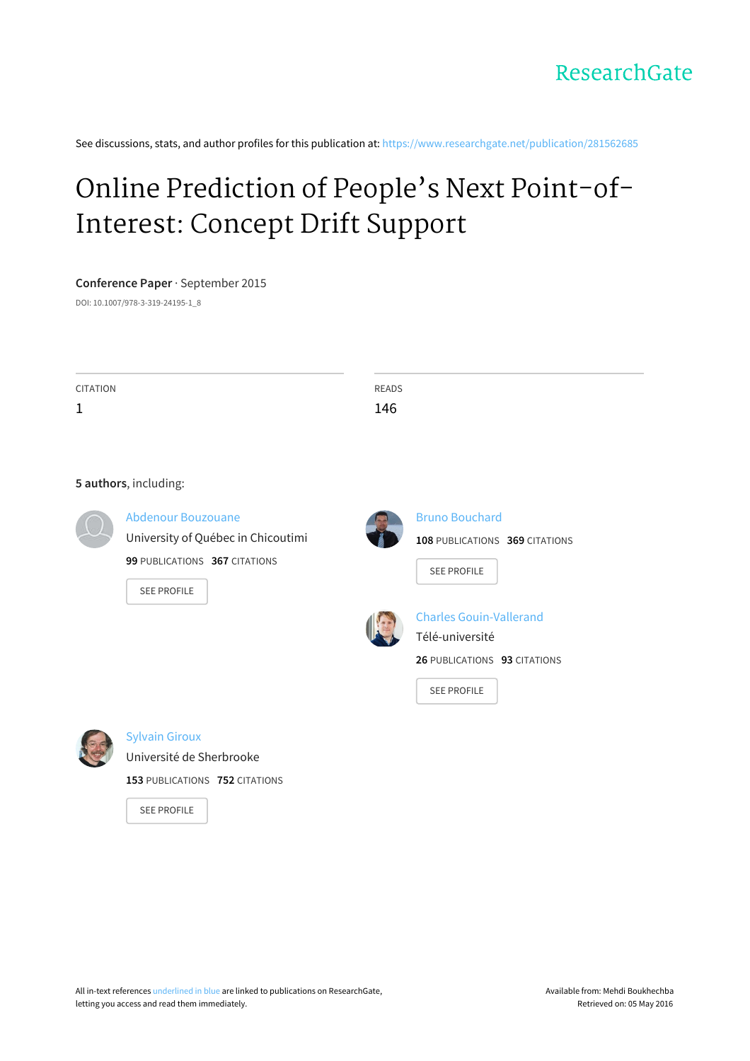See discussions, stats, and author profiles for this publication at: [https://www.researchgate.net/publication/281562685](https://www.researchgate.net/publication/281562685_Online_Prediction_of_People%27s_Next_Point-of-Interest_Concept_Drift_Support?enrichId=rgreq-84b1dba1-a050-4949-a61e-a7636a69295b&enrichSource=Y292ZXJQYWdlOzI4MTU2MjY4NTtBUzoyNzEyMjM3NjI0NTI0OTFAMTQ0MTY3NjE5Mjc2MA%3D%3D&el=1_x_2)

# Online [Prediction](https://www.researchgate.net/publication/281562685_Online_Prediction_of_People%27s_Next_Point-of-Interest_Concept_Drift_Support?enrichId=rgreq-84b1dba1-a050-4949-a61e-a7636a69295b&enrichSource=Y292ZXJQYWdlOzI4MTU2MjY4NTtBUzoyNzEyMjM3NjI0NTI0OTFAMTQ0MTY3NjE5Mjc2MA%3D%3D&el=1_x_3) of People's Next Point-of-Interest: Concept Drift Support

## **Conference Paper** · September 2015

DOI: 10.1007/978-3-319-24195-1\_8

| CITATION | READS |
|----------|-------|
| --       | 146   |
|          |       |
|          |       |

#### **5 authors**, including:



Abdenour [Bouzouane](https://www.researchgate.net/profile/Abdenour_Bouzouane?enrichId=rgreq-84b1dba1-a050-4949-a61e-a7636a69295b&enrichSource=Y292ZXJQYWdlOzI4MTU2MjY4NTtBUzoyNzEyMjM3NjI0NTI0OTFAMTQ0MTY3NjE5Mjc2MA%3D%3D&el=1_x_5) University of Québec in [Chicoutimi](https://www.researchgate.net/institution/University_of_Quebec_in_Chicoutimi?enrichId=rgreq-84b1dba1-a050-4949-a61e-a7636a69295b&enrichSource=Y292ZXJQYWdlOzI4MTU2MjY4NTtBUzoyNzEyMjM3NjI0NTI0OTFAMTQ0MTY3NjE5Mjc2MA%3D%3D&el=1_x_6) **99** PUBLICATIONS **367** CITATIONS



Bruno [Bouchard](https://www.researchgate.net/profile/Bruno_Bouchard?enrichId=rgreq-84b1dba1-a050-4949-a61e-a7636a69295b&enrichSource=Y292ZXJQYWdlOzI4MTU2MjY4NTtBUzoyNzEyMjM3NjI0NTI0OTFAMTQ0MTY3NjE5Mjc2MA%3D%3D&el=1_x_5)

**108** PUBLICATIONS **369** CITATIONS

SEE [PROFILE](https://www.researchgate.net/profile/Bruno_Bouchard?enrichId=rgreq-84b1dba1-a050-4949-a61e-a7636a69295b&enrichSource=Y292ZXJQYWdlOzI4MTU2MjY4NTtBUzoyNzEyMjM3NjI0NTI0OTFAMTQ0MTY3NjE5Mjc2MA%3D%3D&el=1_x_7)



Charles [Gouin-Vallerand](https://www.researchgate.net/profile/Charles_Gouin-Vallerand?enrichId=rgreq-84b1dba1-a050-4949-a61e-a7636a69295b&enrichSource=Y292ZXJQYWdlOzI4MTU2MjY4NTtBUzoyNzEyMjM3NjI0NTI0OTFAMTQ0MTY3NjE5Mjc2MA%3D%3D&el=1_x_5) [Télé-université](https://www.researchgate.net/institution/Tele-universite?enrichId=rgreq-84b1dba1-a050-4949-a61e-a7636a69295b&enrichSource=Y292ZXJQYWdlOzI4MTU2MjY4NTtBUzoyNzEyMjM3NjI0NTI0OTFAMTQ0MTY3NjE5Mjc2MA%3D%3D&el=1_x_6)

**26** PUBLICATIONS **93** CITATIONS

SEE [PROFILE](https://www.researchgate.net/profile/Charles_Gouin-Vallerand?enrichId=rgreq-84b1dba1-a050-4949-a61e-a7636a69295b&enrichSource=Y292ZXJQYWdlOzI4MTU2MjY4NTtBUzoyNzEyMjM3NjI0NTI0OTFAMTQ0MTY3NjE5Mjc2MA%3D%3D&el=1_x_7)



## [Sylvain](https://www.researchgate.net/profile/Sylvain_Giroux?enrichId=rgreq-84b1dba1-a050-4949-a61e-a7636a69295b&enrichSource=Y292ZXJQYWdlOzI4MTU2MjY4NTtBUzoyNzEyMjM3NjI0NTI0OTFAMTQ0MTY3NjE5Mjc2MA%3D%3D&el=1_x_5) Giroux

SEE [PROFILE](https://www.researchgate.net/profile/Abdenour_Bouzouane?enrichId=rgreq-84b1dba1-a050-4949-a61e-a7636a69295b&enrichSource=Y292ZXJQYWdlOzI4MTU2MjY4NTtBUzoyNzEyMjM3NjI0NTI0OTFAMTQ0MTY3NjE5Mjc2MA%3D%3D&el=1_x_7)

Université de [Sherbrooke](https://www.researchgate.net/institution/Universite_de_Sherbrooke?enrichId=rgreq-84b1dba1-a050-4949-a61e-a7636a69295b&enrichSource=Y292ZXJQYWdlOzI4MTU2MjY4NTtBUzoyNzEyMjM3NjI0NTI0OTFAMTQ0MTY3NjE5Mjc2MA%3D%3D&el=1_x_6)

**153** PUBLICATIONS **752** CITATIONS

SEE [PROFILE](https://www.researchgate.net/profile/Sylvain_Giroux?enrichId=rgreq-84b1dba1-a050-4949-a61e-a7636a69295b&enrichSource=Y292ZXJQYWdlOzI4MTU2MjY4NTtBUzoyNzEyMjM3NjI0NTI0OTFAMTQ0MTY3NjE5Mjc2MA%3D%3D&el=1_x_7)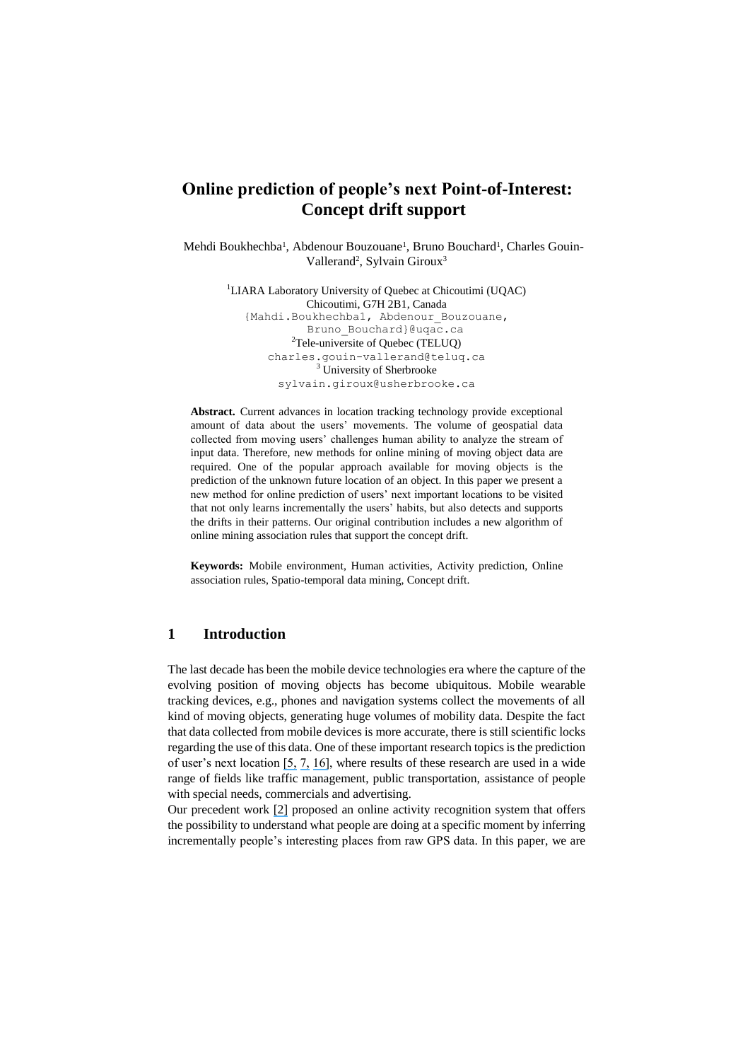## **Online prediction of people's next Point-of-Interest: Concept drift support**

Mehdi Boukhechba<sup>1</sup>, Abdenour Bouzouane<sup>1</sup>, Bruno Bouchard<sup>1</sup>, Charles Gouin-Vallerand<sup>2</sup>, Sylvain Giroux<sup>3</sup>

> <sup>1</sup>LIARA Laboratory University of Quebec at Chicoutimi (UQAC) Chicoutimi, G7H 2B1, Canada {Mahdi.Boukhechba1, Abdenour\_Bouzouane, Bruno\_Bouchard}@uqac.ca <sup>2</sup>Tele-universite of Quebec (TELUQ) charles.gouin-vallerand@teluq.ca <sup>3</sup> University of Sherbrooke sylvain.giroux@usherbrooke.ca

**Abstract.** Current advances in location tracking technology provide exceptional amount of data about the users' movements. The volume of geospatial data collected from moving users' challenges human ability to analyze the stream of input data. Therefore, new methods for online mining of moving object data are required. One of the popular approach available for moving objects is the prediction of the unknown future location of an object. In this paper we present a new method for online prediction of users' next important locations to be visited that not only learns incrementally the users' habits, but also detects and supports the drifts in their patterns. Our original contribution includes a new algorithm of online mining association rules that support the concept drift.

**Keywords:** Mobile environment, Human activities, Activity prediction, Online association rules, Spatio-temporal data mining, Concept drift.

## **1 Introduction**

The last decade has been the mobile device technologies era where the capture of the evolving position of moving objects has become ubiquitous. Mobile wearable tracking devices, e.g., phones and navigation systems collect the movements of all kind of moving objects, generating huge volumes of mobility data. Despite the fact that data collected from mobile devices is more accurate, there is still scientific locks regarding the use of this data. One of these important research topics is the prediction of user's next location [\[5,](https://www.researchgate.net/publication/221023633_Mining_interesting_locations_and_travel_sequences_from_GPS_trajectories_In_Proceedings_of_WWW?el=1_x_8&enrichId=rgreq-84b1dba1-a050-4949-a61e-a7636a69295b&enrichSource=Y292ZXJQYWdlOzI4MTU2MjY4NTtBUzoyNzEyMjM3NjI0NTI0OTFAMTQ0MTY3NjE5Mjc2MA==) [7,](https://www.researchgate.net/publication/234720429_Next_Place_Prediction_using_Mobility_Markov_Chains?el=1_x_8&enrichId=rgreq-84b1dba1-a050-4949-a61e-a7636a69295b&enrichSource=Y292ZXJQYWdlOzI4MTU2MjY4NTtBUzoyNzEyMjM3NjI0NTI0OTFAMTQ0MTY3NjE5Mjc2MA==) [16\]](https://www.researchgate.net/publication/286950487_Where_you_like_to_go_next_Successive_point-of-interest_recommendation?el=1_x_8&enrichId=rgreq-84b1dba1-a050-4949-a61e-a7636a69295b&enrichSource=Y292ZXJQYWdlOzI4MTU2MjY4NTtBUzoyNzEyMjM3NjI0NTI0OTFAMTQ0MTY3NjE5Mjc2MA==), where results of these research are used in a wide range of fields like traffic management, public transportation, assistance of people with special needs, commercials and advertising.

Our precedent work [\[2\]](https://www.researchgate.net/publication/275274206_Online_recognition_of_people) proposed an online activity recognition system that offers the possibility to understand what people are doing at a specific moment by inferring incrementally people's interesting places from raw GPS data. In this paper, we are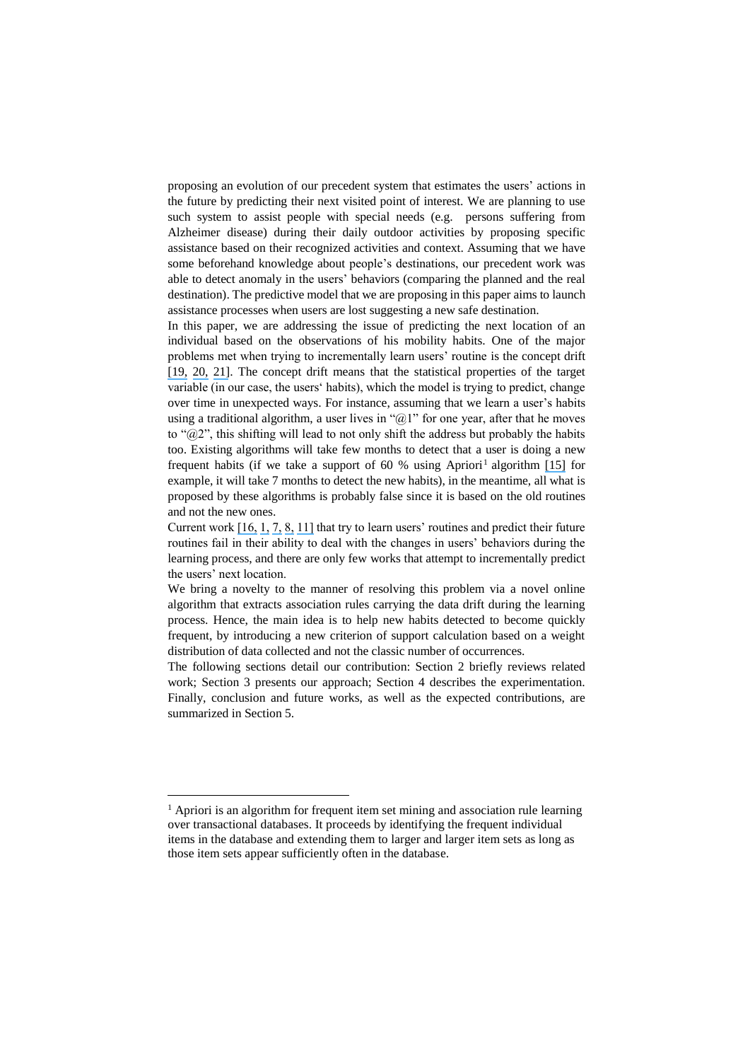proposing an evolution of our precedent system that estimates the users' actions in the future by predicting their next visited point of interest. We are planning to use such system to assist people with special needs (e.g. persons suffering from Alzheimer disease) during their daily outdoor activities by proposing specific assistance based on their recognized activities and context. Assuming that we have some beforehand knowledge about people's destinations, our precedent work was able to detect anomaly in the users' behaviors (comparing the planned and the real destination). The predictive model that we are proposing in this paper aims to launch assistance processes when users are lost suggesting a new safe destination.

In this paper, we are addressing the issue of predicting the next location of an individual based on the observations of his mobility habits. One of the major problems met when trying to incrementally learn users' routine is the concept drift [\[19,](https://www.researchgate.net/publication/221653555_Issues_in_evaluation_of_stream_learning_algorithms?el=1_x_8&enrichId=rgreq-84b1dba1-a050-4949-a61e-a7636a69295b&enrichSource=Y292ZXJQYWdlOzI4MTU2MjY4NTtBUzoyNzEyMjM3NjI0NTI0OTFAMTQ0MTY3NjE5Mjc2MA==) [20,](https://www.researchgate.net/publication/220974771_Learning_with_Drift_Detection?el=1_x_8&enrichId=rgreq-84b1dba1-a050-4949-a61e-a7636a69295b&enrichSource=Y292ZXJQYWdlOzI4MTU2MjY4NTtBUzoyNzEyMjM3NjI0NTI0OTFAMTQ0MTY3NjE5Mjc2MA==) [21\]](https://www.researchgate.net/publication/228563895_Classifier_ensembles_for_detecting_concept_change_in_streaming_data_Overview_and_perspectives?el=1_x_8&enrichId=rgreq-84b1dba1-a050-4949-a61e-a7636a69295b&enrichSource=Y292ZXJQYWdlOzI4MTU2MjY4NTtBUzoyNzEyMjM3NjI0NTI0OTFAMTQ0MTY3NjE5Mjc2MA==). The concept drift means that the statistical properties of the target variable (in our case, the users' habits), which the model is trying to predict, change over time in unexpected ways. For instance, assuming that we learn a user's habits using a traditional algorithm, a user lives in " $@l"$  for one year, after that he moves to "@2", this shifting will lead to not only shift the address but probably the habits too. Existing algorithms will take few months to detect that a user is doing a new frequent habits (if we take a support of  $60%$  using Apriori<sup>1</sup> algorithm [\[15\]](https://www.researchgate.net/publication/221900765_Fast_Algorithms_for_Mining_Association_Rules_in_Large_Databases?el=1_x_8&enrichId=rgreq-84b1dba1-a050-4949-a61e-a7636a69295b&enrichSource=Y292ZXJQYWdlOzI4MTU2MjY4NTtBUzoyNzEyMjM3NjI0NTI0OTFAMTQ0MTY3NjE5Mjc2MA==) for example, it will take 7 months to detect the new habits), in the meantime, all what is proposed by these algorithms is probably false since it is based on the old routines and not the new ones.

Current work [\[16,](https://www.researchgate.net/publication/286950487_Where_you_like_to_go_next_Successive_point-of-interest_recommendation?el=1_x_8&enrichId=rgreq-84b1dba1-a050-4949-a61e-a7636a69295b&enrichSource=Y292ZXJQYWdlOzI4MTU2MjY4NTtBUzoyNzEyMjM3NjI0NTI0OTFAMTQ0MTY3NjE5Mjc2MA==) [1,](https://www.researchgate.net/publication/221589403_Pedestrian-movement_prediction_based_on_mixed_Markov-chain_model?el=1_x_8&enrichId=rgreq-84b1dba1-a050-4949-a61e-a7636a69295b&enrichSource=Y292ZXJQYWdlOzI4MTU2MjY4NTtBUzoyNzEyMjM3NjI0NTI0OTFAMTQ0MTY3NjE5Mjc2MA==) [7,](https://www.researchgate.net/publication/234720429_Next_Place_Prediction_using_Mobility_Markov_Chains?el=1_x_8&enrichId=rgreq-84b1dba1-a050-4949-a61e-a7636a69295b&enrichSource=Y292ZXJQYWdlOzI4MTU2MjY4NTtBUzoyNzEyMjM3NjI0NTI0OTFAMTQ0MTY3NjE5Mjc2MA==) [8,](https://www.researchgate.net/publication/221579244_Prediction_of_Moving_Object_Location_Based_on_Frequent_Trajectories?el=1_x_8&enrichId=rgreq-84b1dba1-a050-4949-a61e-a7636a69295b&enrichSource=Y292ZXJQYWdlOzI4MTU2MjY4NTtBUzoyNzEyMjM3NjI0NTI0OTFAMTQ0MTY3NjE5Mjc2MA==) [11\]](https://www.researchgate.net/publication/3234016_Mobility_modeling_location_tracking_and_trajectory_prediction_in_wireless_ATM_networks?el=1_x_8&enrichId=rgreq-84b1dba1-a050-4949-a61e-a7636a69295b&enrichSource=Y292ZXJQYWdlOzI4MTU2MjY4NTtBUzoyNzEyMjM3NjI0NTI0OTFAMTQ0MTY3NjE5Mjc2MA==) that try to learn users' routines and predict their future routines fail in their ability to deal with the changes in users' behaviors during the learning process, and there are only few works that attempt to incrementally predict the users' next location.

We bring a novelty to the manner of resolving this problem via a novel online algorithm that extracts association rules carrying the data drift during the learning process. Hence, the main idea is to help new habits detected to become quickly frequent, by introducing a new criterion of support calculation based on a weight distribution of data collected and not the classic number of occurrences.

The following sections detail our contribution: Section 2 briefly reviews related work; Section 3 presents our approach; Section 4 describes the experimentation. Finally, conclusion and future works, as well as the expected contributions, are summarized in Section 5.

<u>.</u>

<sup>&</sup>lt;sup>1</sup> Apriori is an algorithm for frequent item set mining and association rule learning over transactional databases. It proceeds by identifying the frequent individual items in the database and extending them to larger and larger item sets as long as those item sets appear sufficiently often in the database.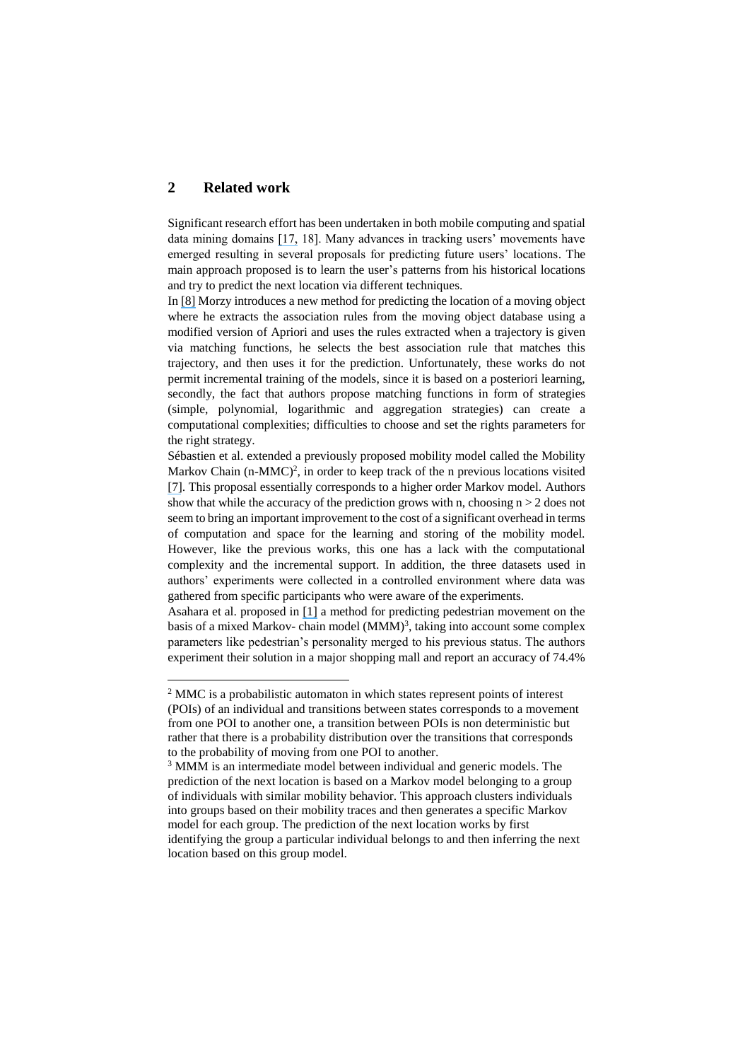## **2 Related work**

<u>.</u>

Significant research effort has been undertaken in both mobile computing and spatial data mining domains [\[17,](https://www.researchgate.net/publication/222653495_A_Conceptual_View_on_Trajectories?el=1_x_8&enrichId=rgreq-84b1dba1-a050-4949-a61e-a7636a69295b&enrichSource=Y292ZXJQYWdlOzI4MTU2MjY4NTtBUzoyNzEyMjM3NjI0NTI0OTFAMTQ0MTY3NjE5Mjc2MA==) 18]. Many advances in tracking users' movements have emerged resulting in several proposals for predicting future users' locations. The main approach proposed is to learn the user's patterns from his historical locations and try to predict the next location via different techniques.

In [\[8\]](https://www.researchgate.net/publication/221579244_Prediction_of_Moving_Object_Location_Based_on_Frequent_Trajectories?el=1_x_8&enrichId=rgreq-84b1dba1-a050-4949-a61e-a7636a69295b&enrichSource=Y292ZXJQYWdlOzI4MTU2MjY4NTtBUzoyNzEyMjM3NjI0NTI0OTFAMTQ0MTY3NjE5Mjc2MA==) Morzy introduces a new method for predicting the location of a moving object where he extracts the association rules from the moving object database using a modified version of Apriori and uses the rules extracted when a trajectory is given via matching functions, he selects the best association rule that matches this trajectory, and then uses it for the prediction. Unfortunately, these works do not permit incremental training of the models, since it is based on a posteriori learning, secondly, the fact that authors propose matching functions in form of strategies (simple, polynomial, logarithmic and aggregation strategies) can create a computational complexities; difficulties to choose and set the rights parameters for the right strategy.

Sébastien et al. extended a previously proposed mobility model called the Mobility Markov Chain  $(n-MMC)^2$ , in order to keep track of the n previous locations visited [\[7\]](https://www.researchgate.net/publication/234720429_Next_Place_Prediction_using_Mobility_Markov_Chains?el=1_x_8&enrichId=rgreq-84b1dba1-a050-4949-a61e-a7636a69295b&enrichSource=Y292ZXJQYWdlOzI4MTU2MjY4NTtBUzoyNzEyMjM3NjI0NTI0OTFAMTQ0MTY3NjE5Mjc2MA==). This proposal essentially corresponds to a higher order Markov model. Authors show that while the accuracy of the prediction grows with n, choosing  $n > 2$  does not seem to bring an important improvement to the cost of a significant overhead in terms of computation and space for the learning and storing of the mobility model. However, like the previous works, this one has a lack with the computational complexity and the incremental support. In addition, the three datasets used in authors' experiments were collected in a controlled environment where data was gathered from specific participants who were aware of the experiments.

Asahara et al. proposed in [\[1\]](https://www.researchgate.net/publication/221589403_Pedestrian-movement_prediction_based_on_mixed_Markov-chain_model?el=1_x_8&enrichId=rgreq-84b1dba1-a050-4949-a61e-a7636a69295b&enrichSource=Y292ZXJQYWdlOzI4MTU2MjY4NTtBUzoyNzEyMjM3NjI0NTI0OTFAMTQ0MTY3NjE5Mjc2MA==) a method for predicting pedestrian movement on the basis of a mixed Markov- chain model  $(MMM)^3$ , taking into account some complex parameters like pedestrian's personality merged to his previous status. The authors experiment their solution in a major shopping mall and report an accuracy of 74.4%

<sup>&</sup>lt;sup>2</sup> MMC is a probabilistic automaton in which states represent points of interest (POIs) of an individual and transitions between states corresponds to a movement from one POI to another one, a transition between POIs is non deterministic but rather that there is a probability distribution over the transitions that corresponds to the probability of moving from one POI to another.

<sup>3</sup> MMM is an intermediate model between individual and generic models. The prediction of the next location is based on a Markov model belonging to a group of individuals with similar mobility behavior. This approach clusters individuals into groups based on their mobility traces and then generates a specific Markov model for each group. The prediction of the next location works by first identifying the group a particular individual belongs to and then inferring the next location based on this group model.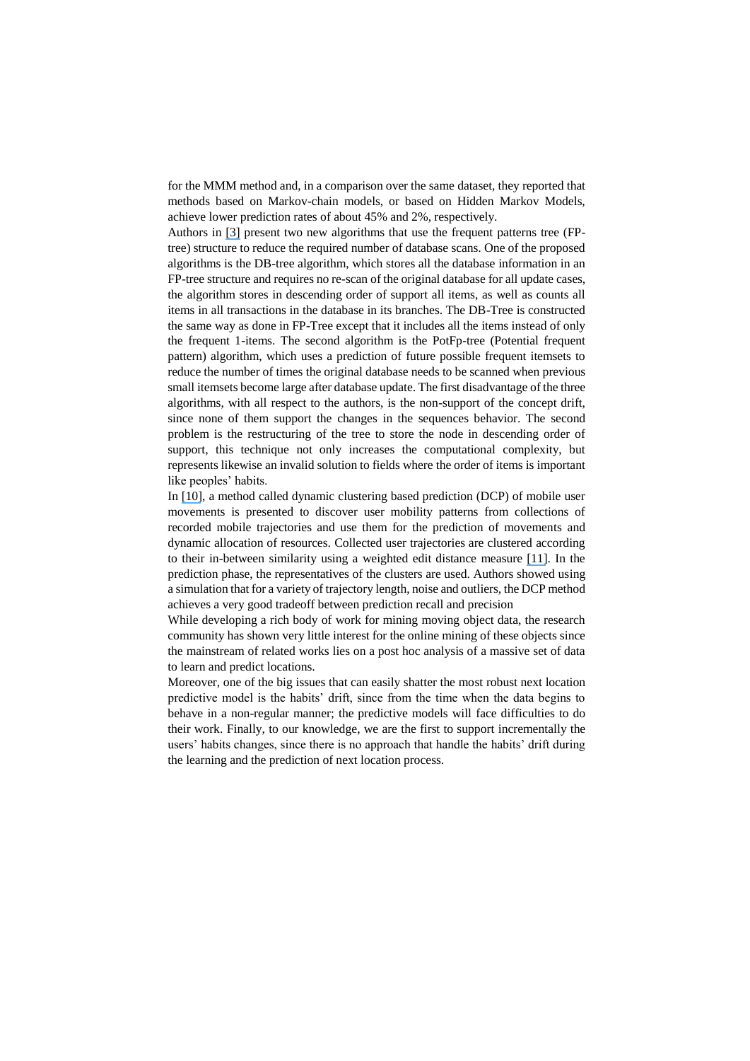for the MMM method and, in a comparison over the same dataset, they reported that methods based on Markov-chain models, or based on Hidden Markov Models, achieve lower prediction rates of about 45% and 2%, respectively.

Authors in [\[3\]](https://www.researchgate.net/publication/221442206_Mining_Incremental_Association_Rules_with_Generalized_FP-Tree?el=1_x_8&enrichId=rgreq-84b1dba1-a050-4949-a61e-a7636a69295b&enrichSource=Y292ZXJQYWdlOzI4MTU2MjY4NTtBUzoyNzEyMjM3NjI0NTI0OTFAMTQ0MTY3NjE5Mjc2MA==) present two new algorithms that use the frequent patterns tree (FPtree) structure to reduce the required number of database scans. One of the proposed algorithms is the DB-tree algorithm, which stores all the database information in an FP-tree structure and requires no re-scan of the original database for all update cases, the algorithm stores in descending order of support all items, as well as counts all items in all transactions in the database in its branches. The DB-Tree is constructed the same way as done in FP-Tree except that it includes all the items instead of only the frequent 1-items. The second algorithm is the PotFp-tree (Potential frequent pattern) algorithm, which uses a prediction of future possible frequent itemsets to reduce the number of times the original database needs to be scanned when previous small itemsets become large after database update. The first disadvantage of the three algorithms, with all respect to the authors, is the non-support of the concept drift, since none of them support the changes in the sequences behavior. The second problem is the restructuring of the tree to store the node in descending order of support, this technique not only increases the computational complexity, but represents likewise an invalid solution to fields where the order of items is important like peoples' habits.

In [\[10\]](https://www.researchgate.net/publication/225730293_Clustering_Mobile_Trajectories_for_Resource_Allocation_in_Mobile_Environments?el=1_x_8&enrichId=rgreq-84b1dba1-a050-4949-a61e-a7636a69295b&enrichSource=Y292ZXJQYWdlOzI4MTU2MjY4NTtBUzoyNzEyMjM3NjI0NTI0OTFAMTQ0MTY3NjE5Mjc2MA==), a method called dynamic clustering based prediction (DCP) of mobile user movements is presented to discover user mobility patterns from collections of recorded mobile trajectories and use them for the prediction of movements and dynamic allocation of resources. Collected user trajectories are clustered according to their in-between similarity using a weighted edit distance measure [\[11\]](https://www.researchgate.net/publication/3234016_Mobility_modeling_location_tracking_and_trajectory_prediction_in_wireless_ATM_networks?el=1_x_8&enrichId=rgreq-84b1dba1-a050-4949-a61e-a7636a69295b&enrichSource=Y292ZXJQYWdlOzI4MTU2MjY4NTtBUzoyNzEyMjM3NjI0NTI0OTFAMTQ0MTY3NjE5Mjc2MA==). In the prediction phase, the representatives of the clusters are used. Authors showed using a simulation that for a variety of trajectory length, noise and outliers, the DCP method achieves a very good tradeoff between prediction recall and precision

While developing a rich body of work for mining moving object data, the research community has shown very little interest for the online mining of these objects since the mainstream of related works lies on a post hoc analysis of a massive set of data to learn and predict locations.

Moreover, one of the big issues that can easily shatter the most robust next location predictive model is the habits' drift, since from the time when the data begins to behave in a non-regular manner; the predictive models will face difficulties to do their work. Finally, to our knowledge, we are the first to support incrementally the users' habits changes, since there is no approach that handle the habits' drift during the learning and the prediction of next location process.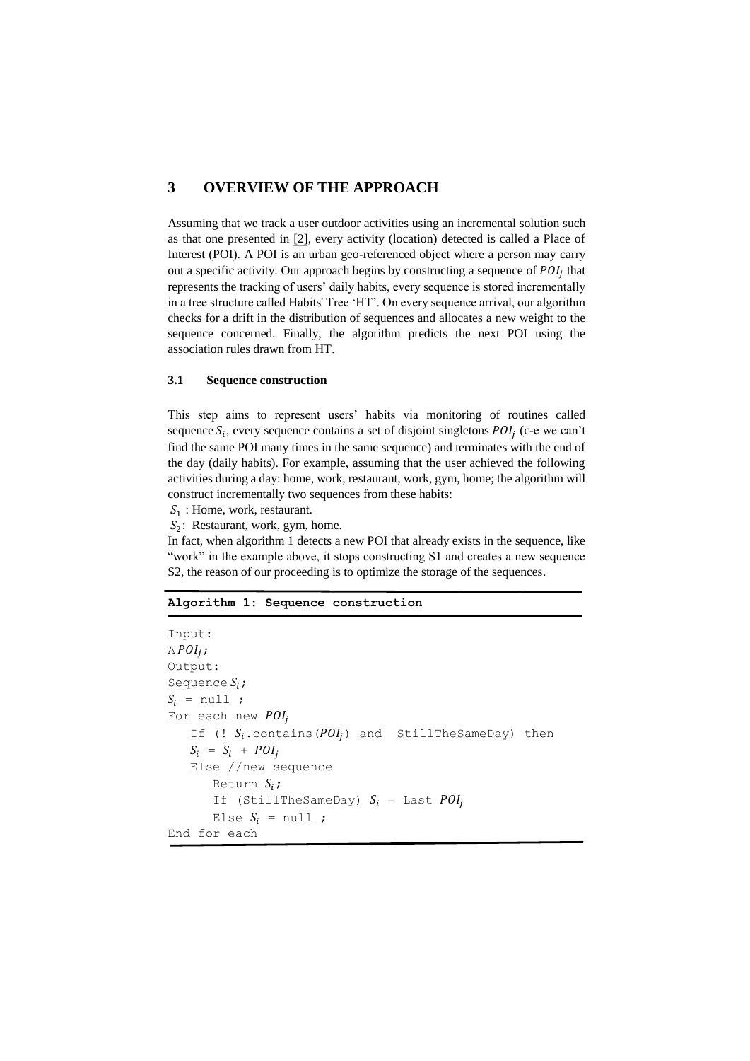## **3 OVERVIEW OF THE APPROACH**

Assuming that we track a user outdoor activities using an incremental solution such as that one presented in [\[2\]](https://www.researchgate.net/publication/275274206_Online_recognition_of_people), every activity (location) detected is called a Place of Interest (POI). A POI is an urban geo-referenced object where a person may carry out a specific activity. Our approach begins by constructing a sequence of  $POI<sub>j</sub>$  that represents the tracking of users' daily habits, every sequence is stored incrementally in a tree structure called Habits' Tree 'HT'. On every sequence arrival, our algorithm checks for a drift in the distribution of sequences and allocates a new weight to the sequence concerned. Finally, the algorithm predicts the next POI using the association rules drawn from HT.

#### **3.1 Sequence construction**

This step aims to represent users' habits via monitoring of routines called sequence  $S_i$ , every sequence contains a set of disjoint singletons POI<sub>j</sub> (c-e we can't find the same POI many times in the same sequence) and terminates with the end of the day (daily habits). For example, assuming that the user achieved the following activities during a day: home, work, restaurant, work, gym, home; the algorithm will construct incrementally two sequences from these habits:

- $S_1$ : Home, work, restaurant.
- $S_2$ : Restaurant, work, gym, home.

In fact, when algorithm 1 detects a new POI that already exists in the sequence, like "work" in the example above, it stops constructing S1 and creates a new sequence S2, the reason of our proceeding is to optimize the storage of the sequences.

#### **Algorithm 1: Sequence construction**

```
Input:
A POI_i;Output:
Sequence S_i;
S_i = null ;
For each new POI_iIf (! S_i. contains(POI_i) and StillTheSameDay) then
   S_i = S_i + POI_j Else //new sequence
      Return S_i;
      If (StillTheSameDay) S_i = Last POI_jElse S_i = null ;
End for each
```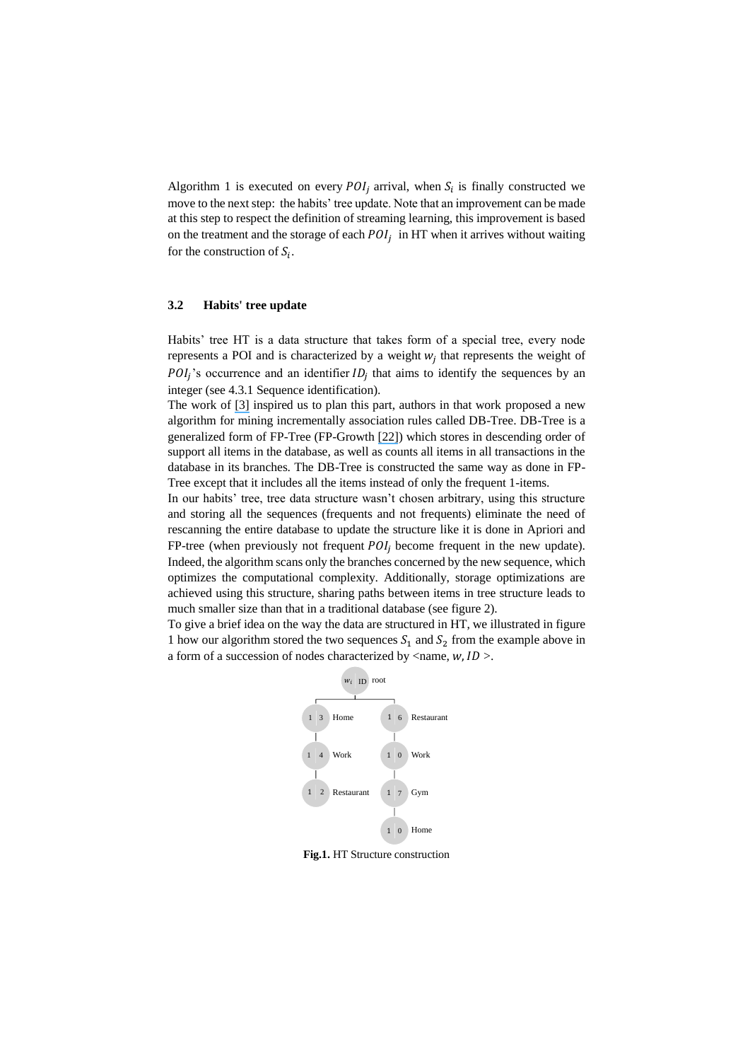Algorithm 1 is executed on every *POI<sub>j</sub>* arrival, when  $S_i$  is finally constructed we move to the next step: the habits' tree update. Note that an improvement can be made at this step to respect the definition of streaming learning, this improvement is based on the treatment and the storage of each  $POI_j$  in HT when it arrives without waiting for the construction of  $S_i$ .

#### **3.2 Habits' tree update**

Habits' tree HT is a data structure that takes form of a special tree, every node represents a POI and is characterized by a weight  $w_j$  that represents the weight of  $POI_j$ 's occurrence and an identifier  $ID_j$  that aims to identify the sequences by an integer (see 4.3.1 Sequence identification).

The work of [\[3\]](https://www.researchgate.net/publication/221442206_Mining_Incremental_Association_Rules_with_Generalized_FP-Tree?el=1_x_8&enrichId=rgreq-84b1dba1-a050-4949-a61e-a7636a69295b&enrichSource=Y292ZXJQYWdlOzI4MTU2MjY4NTtBUzoyNzEyMjM3NjI0NTI0OTFAMTQ0MTY3NjE5Mjc2MA==) inspired us to plan this part, authors in that work proposed a new algorithm for mining incrementally association rules called DB-Tree. DB-Tree is a generalized form of FP-Tree (FP-Growth [\[22\]](https://www.researchgate.net/publication/220520017_Algorithms_for_Association_Rule_Mining_-_A_General_Survey_and_Comparison?el=1_x_8&enrichId=rgreq-84b1dba1-a050-4949-a61e-a7636a69295b&enrichSource=Y292ZXJQYWdlOzI4MTU2MjY4NTtBUzoyNzEyMjM3NjI0NTI0OTFAMTQ0MTY3NjE5Mjc2MA==)) which stores in descending order of support all items in the database, as well as counts all items in all transactions in the database in its branches. The DB-Tree is constructed the same way as done in FP-Tree except that it includes all the items instead of only the frequent 1-items.

In our habits' tree, tree data structure wasn't chosen arbitrary, using this structure and storing all the sequences (frequents and not frequents) eliminate the need of rescanning the entire database to update the structure like it is done in Apriori and FP-tree (when previously not frequent  $P O I_j$  become frequent in the new update). Indeed, the algorithm scans only the branches concerned by the new sequence, which optimizes the computational complexity. Additionally, storage optimizations are achieved using this structure, sharing paths between items in tree structure leads to much smaller size than that in a traditional database (see figure 2).

To give a brief idea on the way the data are structured in HT, we illustrated in figure 1 how our algorithm stored the two sequences  $S_1$  and  $S_2$  from the example above in a form of a succession of nodes characterized by  $\langle$ name,  $w$ ,  $ID$ .



**Fig.1.** HT Structure construction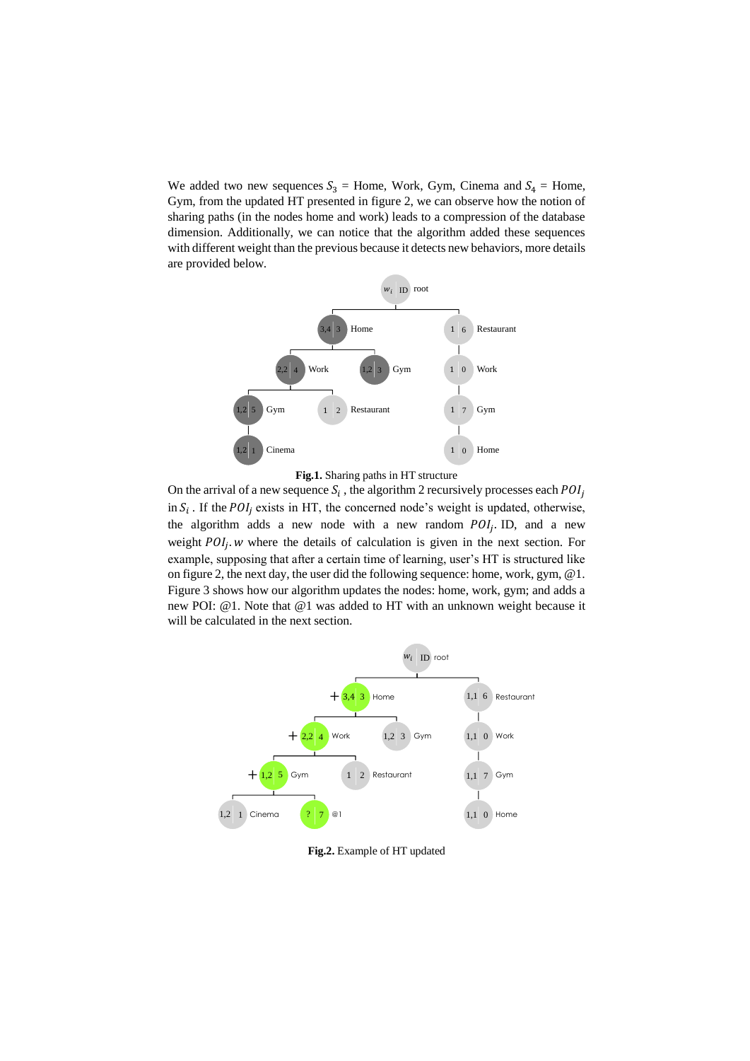We added two new sequences  $S_3$  = Home, Work, Gym, Cinema and  $S_4$  = Home, Gym, from the updated HT presented in figure 2, we can observe how the notion of sharing paths (in the nodes home and work) leads to a compression of the database dimension. Additionally, we can notice that the algorithm added these sequences with different weight than the previous because it detects new behaviors, more details are provided below.





On the arrival of a new sequence  $S_i$ , the algorithm 2 recursively processes each  $POI_j$ in  $S_i$ . If the POI<sub>j</sub> exists in HT, the concerned node's weight is updated, otherwise, the algorithm adds a new node with a new random  $POI_j$ . ID, and a new weight  $POI_j$ . w where the details of calculation is given in the next section. For example, supposing that after a certain time of learning, user's HT is structured like on figure 2, the next day, the user did the following sequence: home, work, gym, @1. Figure 3 shows how our algorithm updates the nodes: home, work, gym; and adds a new POI: @1. Note that @1 was added to HT with an unknown weight because it will be calculated in the next section.



**Fig.2.** Example of HT updated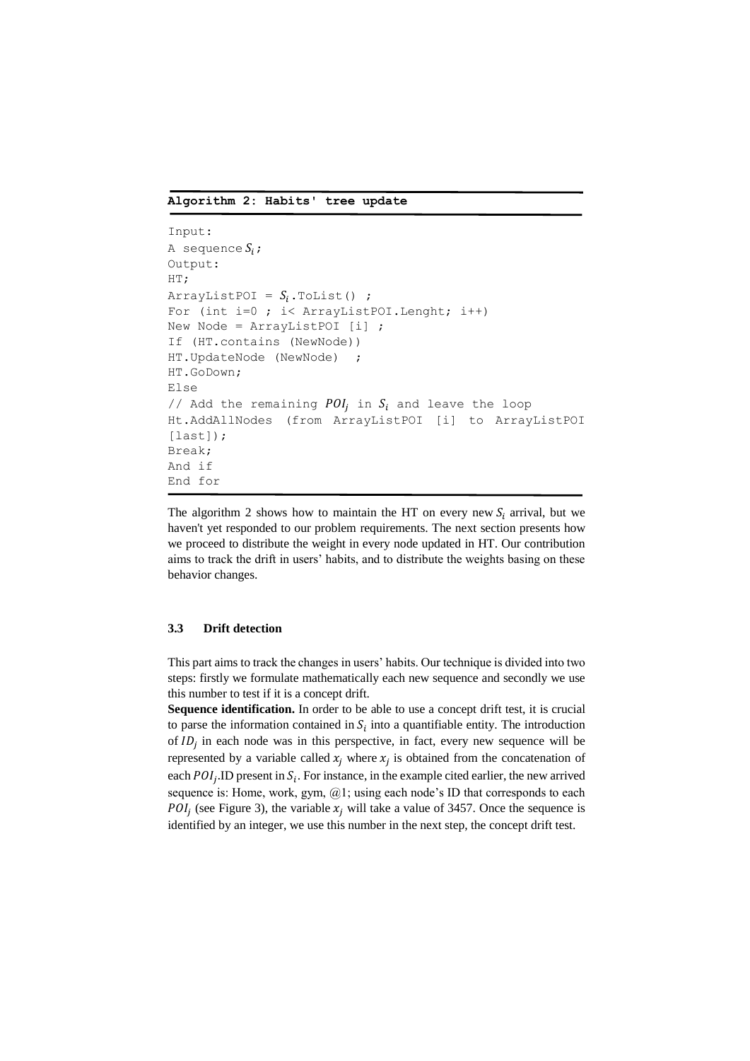#### **Algorithm 2: Habits' tree update**

```
Input:
A sequence S_i;
Output:
HT;
ArrayListPOI = S_i. ToList() ;
For (int i=0 ; i< ArrayListPOI. Lenght; i++)
New Node = ArrayListPOI [i] ;
If (HT.contains (NewNode))
HT.UpdateNode (NewNode) ;
HT.GoDown; 
Else
// Add the remaining POI_i in S_i and leave the loop
Ht.AddAllNodes (from ArrayListPOI [i] to ArrayListPOI 
[last]);
Break;
And if 
End for
```
The algorithm 2 shows how to maintain the HT on every new  $S_i$  arrival, but we haven't yet responded to our problem requirements. The next section presents how we proceed to distribute the weight in every node updated in HT. Our contribution aims to track the drift in users' habits, and to distribute the weights basing on these behavior changes.

#### **3.3 Drift detection**

This part aims to track the changes in users' habits. Our technique is divided into two steps: firstly we formulate mathematically each new sequence and secondly we use this number to test if it is a concept drift.

**Sequence identification.** In order to be able to use a concept drift test, it is crucial to parse the information contained in  $S_i$  into a quantifiable entity. The introduction of  $ID_j$  in each node was in this perspective, in fact, every new sequence will be represented by a variable called  $x_j$  where  $x_j$  is obtained from the concatenation of each  $POI_j$ . ID present in  $S_i$ . For instance, in the example cited earlier, the new arrived sequence is: Home, work, gym, @1; using each node's ID that corresponds to each POI<sub>j</sub> (see Figure 3), the variable  $x_j$  will take a value of 3457. Once the sequence is identified by an integer, we use this number in the next step, the concept drift test.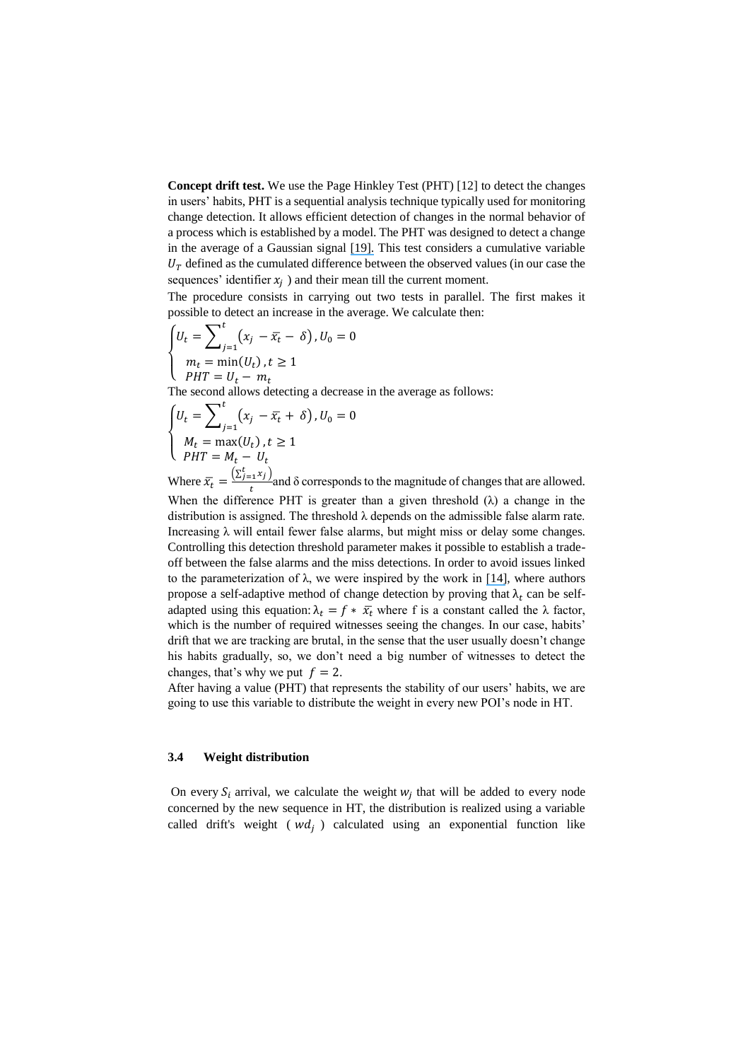**Concept drift test.** We use the Page Hinkley Test (PHT) [12] to detect the changes in users' habits, PHT is a sequential analysis technique typically used for monitoring change detection. It allows efficient detection of changes in the normal behavior of a process which is established by a model. The PHT was designed to detect a change in the average of a Gaussian signal [\[19\].](https://www.researchgate.net/publication/221653555_Issues_in_evaluation_of_stream_learning_algorithms?el=1_x_8&enrichId=rgreq-84b1dba1-a050-4949-a61e-a7636a69295b&enrichSource=Y292ZXJQYWdlOzI4MTU2MjY4NTtBUzoyNzEyMjM3NjI0NTI0OTFAMTQ0MTY3NjE5Mjc2MA==) This test considers a cumulative variable  $U_T$  defined as the cumulated difference between the observed values (in our case the sequences' identifier  $x_j$ ) and their mean till the current moment.

The procedure consists in carrying out two tests in parallel. The first makes it possible to detect an increase in the average. We calculate then:

$$
\begin{cases}\nU_t = \sum_{j=1}^t (x_j - \bar{x}_t - \delta), U_0 = 0 \\
m_t = \min(U_t), t \ge 1 \\
PHT = U_t - m_t\n\end{cases}
$$

The second allows detecting a decrease in the average as follows:

$$
\begin{cases}\nU_t = \sum_{j=1}^t (x_j - \bar{x}_t + \delta), U_0 = 0 \\
M_t = \max(U_t), t \ge 1 \\
PHT = M_t - U_t \\
\left(\frac{\delta}{\delta t}, \frac{\delta}{\delta t}\right)\n\end{cases}
$$

Where  $\bar{x}_t = \frac{\left(\sum_{j=1}^t x_j\right)}{t}$  $\frac{a_1 + b_1}{b_1}$  and  $\delta$  corresponds to the magnitude of changes that are allowed. When the difference PHT is greater than a given threshold  $(\lambda)$  a change in the distribution is assigned. The threshold  $\lambda$  depends on the admissible false alarm rate. Increasing λ will entail fewer false alarms, but might miss or delay some changes. Controlling this detection threshold parameter makes it possible to establish a tradeoff between the false alarms and the miss detections. In order to avoid issues linked to the parameterization of  $\lambda$ , we were inspired by the work in [\[14\]](https://www.researchgate.net/publication/221547968_Adaptively_Detecting_Changes_in_Autonomic_Grid_Computing?el=1_x_8&enrichId=rgreq-84b1dba1-a050-4949-a61e-a7636a69295b&enrichSource=Y292ZXJQYWdlOzI4MTU2MjY4NTtBUzoyNzEyMjM3NjI0NTI0OTFAMTQ0MTY3NjE5Mjc2MA==), where authors propose a self-adaptive method of change detection by proving that  $\lambda_t$  can be selfadapted using this equation:  $\lambda_t = f * \overline{x_t}$  where f is a constant called the  $\lambda$  factor, which is the number of required witnesses seeing the changes. In our case, habits' drift that we are tracking are brutal, in the sense that the user usually doesn't change his habits gradually, so, we don't need a big number of witnesses to detect the changes, that's why we put  $f = 2$ .

After having a value (PHT) that represents the stability of our users' habits, we are going to use this variable to distribute the weight in every new POI's node in HT.

#### **3.4 Weight distribution**

On every  $S_i$  arrival, we calculate the weight  $w_j$  that will be added to every node concerned by the new sequence in HT, the distribution is realized using a variable called drift's weight ( $wd_j$ ) calculated using an exponential function like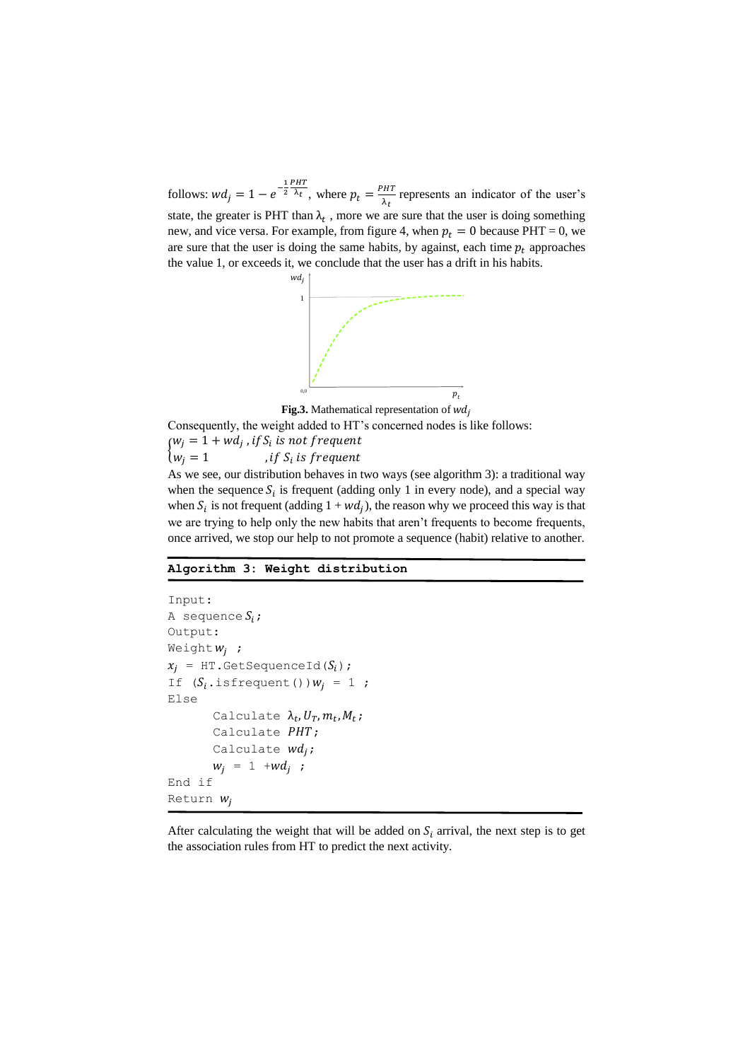follows:  $wd_j = 1 - e^{-\frac{1}{2}\frac{PHT}{\lambda_t}}$ , where  $p_t = \frac{PHT}{\lambda_t}$  $\frac{m}{\lambda_t}$  represents an indicator of the user's state, the greater is PHT than  $\lambda_t$ , more we are sure that the user is doing something new, and vice versa. For example, from figure 4, when  $p_t = 0$  because PHT = 0, we are sure that the user is doing the same habits, by against, each time  $p_t$  approaches the value 1, or exceeds it, we conclude that the user has a drift in his habits.





Consequently, the weight added to HT's concerned nodes is like follows:  ${w_j = 1, i f S_i}$  $w_j = 1 + w d_j$  , if  $S_i$  is not frequent , if  $S_i$  is frequent As we see, our distribution behaves in two ways (see algorithm 3): a traditional way

when the sequence  $S_i$  is frequent (adding only 1 in every node), and a special way when  $S_i$  is not frequent (adding  $1 + wd_j$ ), the reason why we proceed this way is that we are trying to help only the new habits that aren't frequents to become frequents, once arrived, we stop our help to not promote a sequence (habit) relative to another.

#### **Algorithm 3: Weight distribution**

```
Input:
A sequence S_i;
Output:
Weight w_i;
x_i = HT. GetSequenceId(S_i);
If (S_i. isfrequent()) w_i = 1;
Else 
       Calculate \lambda_t, U_T, m_t, M_t;
       Calculate PHT;
       Calculate wd_i;
       w_i = 1 + wd_i ;End if 
Return W_i
```
After calculating the weight that will be added on  $S_i$  arrival, the next step is to get the association rules from HT to predict the next activity.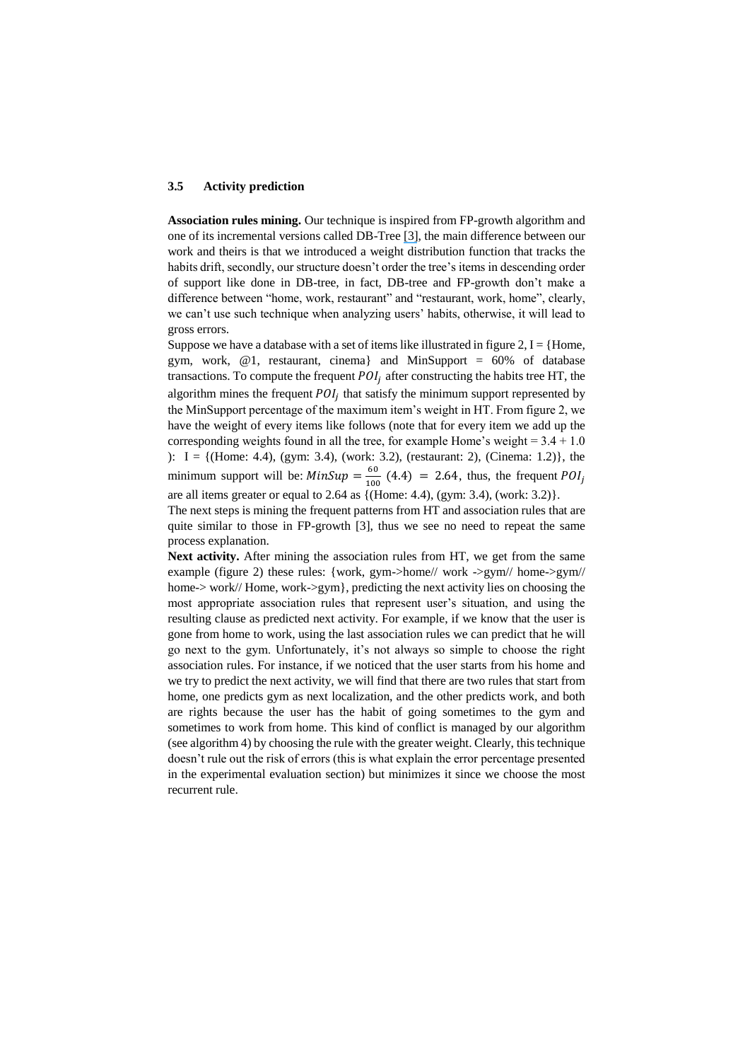#### **3.5 Activity prediction**

**Association rules mining.** Our technique is inspired from FP-growth algorithm and one of its incremental versions called DB-Tree [\[3\]](https://www.researchgate.net/publication/221442206_Mining_Incremental_Association_Rules_with_Generalized_FP-Tree?el=1_x_8&enrichId=rgreq-84b1dba1-a050-4949-a61e-a7636a69295b&enrichSource=Y292ZXJQYWdlOzI4MTU2MjY4NTtBUzoyNzEyMjM3NjI0NTI0OTFAMTQ0MTY3NjE5Mjc2MA==), the main difference between our work and theirs is that we introduced a weight distribution function that tracks the habits drift, secondly, our structure doesn't order the tree's items in descending order of support like done in DB-tree, in fact, DB-tree and FP-growth don't make a difference between "home, work, restaurant" and "restaurant, work, home", clearly, we can't use such technique when analyzing users' habits, otherwise, it will lead to gross errors.

Suppose we have a database with a set of items like illustrated in figure  $2$ , I = {Home, gym, work, @1, restaurant, cinema} and MinSupport = 60% of database transactions. To compute the frequent  $POI_i$  after constructing the habits tree HT, the algorithm mines the frequent  $POI_j$  that satisfy the minimum support represented by the MinSupport percentage of the maximum item's weight in HT. From figure 2, we have the weight of every items like follows (note that for every item we add up the corresponding weights found in all the tree, for example Home's weight  $= 3.4 + 1.0$ ): I = {(Home: 4.4), (gym: 3.4), (work: 3.2), (restaurant: 2), (Cinema: 1.2)}, the minimum support will be:  $MinSup = \frac{60}{100}$  $\frac{100}{100}$  (4.4) = 2.64, thus, the frequent *POI*<sub>j</sub> are all items greater or equal to 2.64 as {(Home: 4.4), (gym: 3.4), (work: 3.2)}.

The next steps is mining the frequent patterns from HT and association rules that are quite similar to those in FP-growth [3], thus we see no need to repeat the same process explanation.

**Next activity.** After mining the association rules from HT, we get from the same example (figure 2) these rules: {work, gym->home// work ->gym// home->gym// home-> work// Home, work->gym}, predicting the next activity lies on choosing the most appropriate association rules that represent user's situation, and using the resulting clause as predicted next activity. For example, if we know that the user is gone from home to work, using the last association rules we can predict that he will go next to the gym. Unfortunately, it's not always so simple to choose the right association rules. For instance, if we noticed that the user starts from his home and we try to predict the next activity, we will find that there are two rules that start from home, one predicts gym as next localization, and the other predicts work, and both are rights because the user has the habit of going sometimes to the gym and sometimes to work from home. This kind of conflict is managed by our algorithm (see algorithm 4) by choosing the rule with the greater weight. Clearly, this technique doesn't rule out the risk of errors (this is what explain the error percentage presented in the experimental evaluation section) but minimizes it since we choose the most recurrent rule.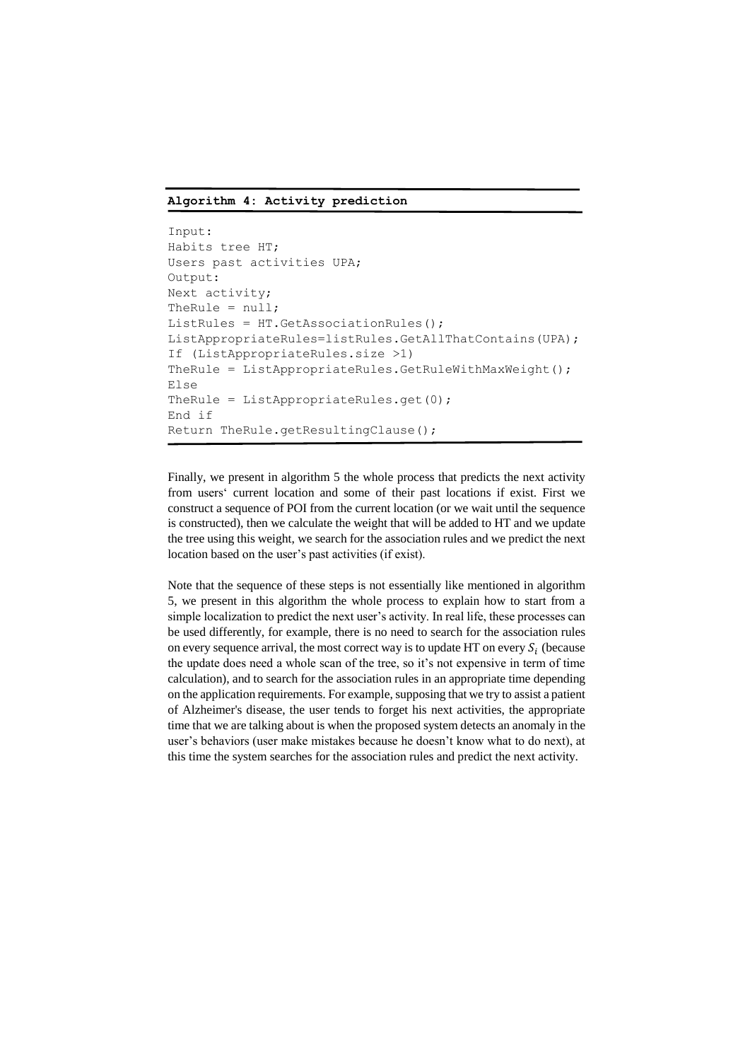#### **Algorithm 4: Activity prediction**

l

```
Input:
Habits tree HT;
Users past activities UPA;
Output:
Next activity;
TheRule = null;ListRules = HT.GetAssociationRules();
ListAppropriateRules=listRules.GetAllThatContains(UPA);
If (ListAppropriateRules.size >1) 
TheRule = ListAppropriateRules.GetRuleWithMaxWeight();
Else 
TheRule = ListAppropriateRules.get(0);
End if 
Return TheRule.getResultingClause();
```
Finally, we present in algorithm 5 the whole process that predicts the next activity from users' current location and some of their past locations if exist. First we construct a sequence of POI from the current location (or we wait until the sequence is constructed), then we calculate the weight that will be added to HT and we update the tree using this weight, we search for the association rules and we predict the next location based on the user's past activities (if exist).

Note that the sequence of these steps is not essentially like mentioned in algorithm 5, we present in this algorithm the whole process to explain how to start from a simple localization to predict the next user's activity. In real life, these processes can be used differently, for example, there is no need to search for the association rules on every sequence arrival, the most correct way is to update HT on every  $S_i$  (because the update does need a whole scan of the tree, so it's not expensive in term of time calculation), and to search for the association rules in an appropriate time depending on the application requirements. For example, supposing that we try to assist a patient of Alzheimer's disease, the user tends to forget his next activities, the appropriate time that we are talking about is when the proposed system detects an anomaly in the user's behaviors (user make mistakes because he doesn't know what to do next), at this time the system searches for the association rules and predict the next activity.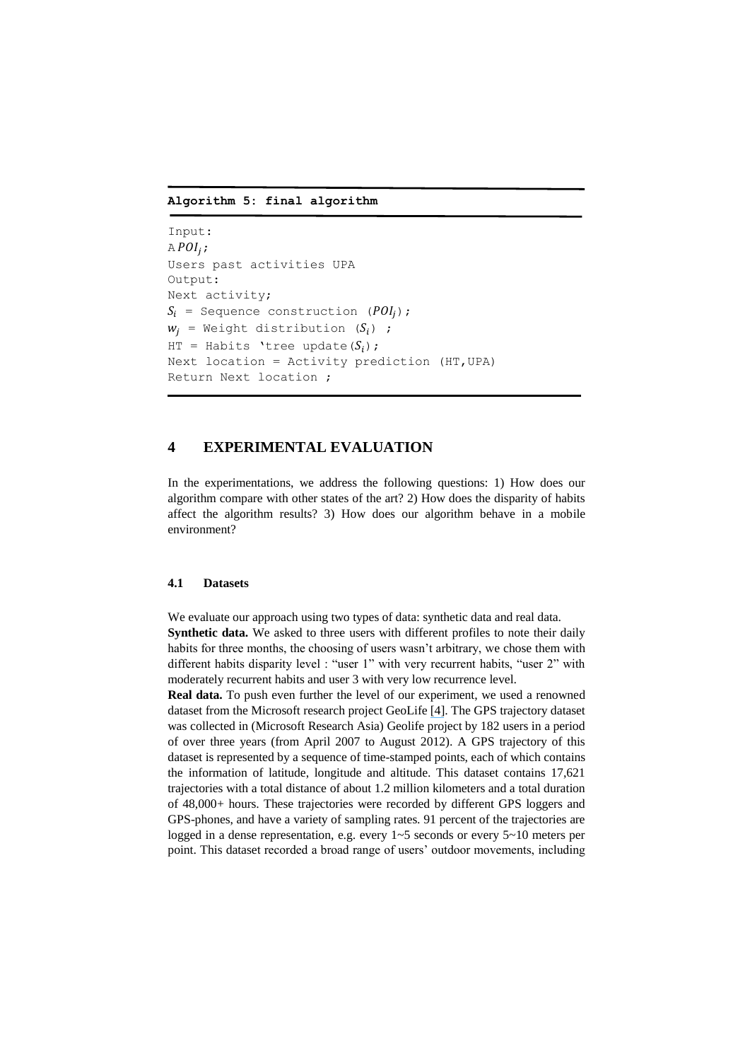**Algorithm 5: final algorithm**

1

```
Input:
A POI_i;Users past activities UPA
Output:
Next activity;
S_i = Sequence construction (POI<sub>i</sub>);
w_i = Weight distribution (S_i) ;
HT = Habits 'tree update(S_i);
Next location = Activity prediction (HT,UPA)
Return Next location ;
```
## **4 EXPERIMENTAL EVALUATION**

In the experimentations, we address the following questions: 1) How does our algorithm compare with other states of the art? 2) How does the disparity of habits affect the algorithm results? 3) How does our algorithm behave in a mobile environment?

#### **4.1 Datasets**

We evaluate our approach using two types of data: synthetic data and real data. **Synthetic data.** We asked to three users with different profiles to note their daily habits for three months, the choosing of users wasn't arbitrary, we chose them with different habits disparity level : "user 1" with very recurrent habits, "user 2" with moderately recurrent habits and user 3 with very low recurrence level.

**Real data.** To push even further the level of our experiment, we used a renowned dataset from the Microsoft research project GeoLife [\[4\]](https://www.researchgate.net/publication/220282575_GeoLife_A_Collaborative_Social_Networking_Service_among_User_Location_and_Trajectory?el=1_x_8&enrichId=rgreq-84b1dba1-a050-4949-a61e-a7636a69295b&enrichSource=Y292ZXJQYWdlOzI4MTU2MjY4NTtBUzoyNzEyMjM3NjI0NTI0OTFAMTQ0MTY3NjE5Mjc2MA==). The GPS trajectory dataset was collected in (Microsoft Research Asia) Geolife project by 182 users in a period of over three years (from April 2007 to August 2012). A GPS trajectory of this dataset is represented by a sequence of time-stamped points, each of which contains the information of latitude, longitude and altitude. This dataset contains 17,621 trajectories with a total distance of about 1.2 million kilometers and a total duration of 48,000+ hours. These trajectories were recorded by different GPS loggers and GPS-phones, and have a variety of sampling rates. 91 percent of the trajectories are logged in a dense representation, e.g. every 1~5 seconds or every 5~10 meters per point. This dataset recorded a broad range of users' outdoor movements, including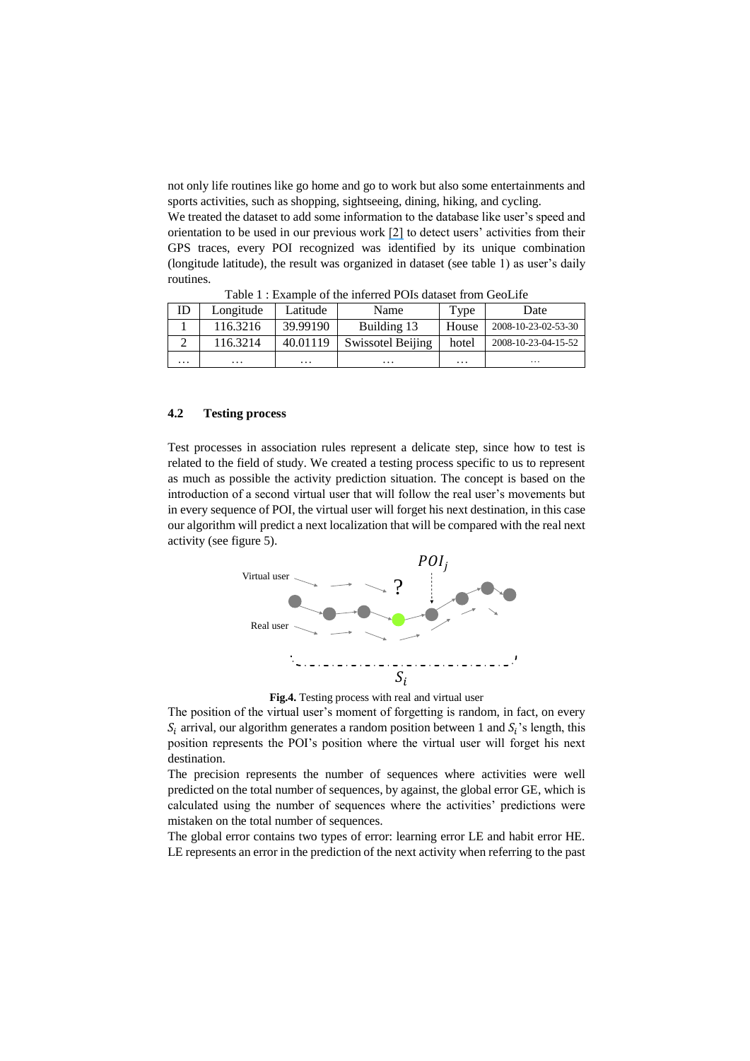not only life routines like go home and go to work but also some entertainments and sports activities, such as shopping, sightseeing, dining, hiking, and cycling.

We treated the dataset to add some information to the database like user's speed and orientation to be used in our previous work [\[2\]](https://www.researchgate.net/publication/275274206_Online_recognition_of_people) to detect users' activities from their GPS traces, every POI recognized was identified by its unique combination (longitude latitude), the result was organized in dataset (see table 1) as user's daily routines.

|          | Longitude | Latitude | Name                     | Type     | Date                 |
|----------|-----------|----------|--------------------------|----------|----------------------|
|          | 116.3216  | 39.99190 | Building 13              | House    | 2008-10-23-02-53-30  |
|          | 116.3214  | 40.01119 | <b>Swissotel Beijing</b> | hotel    | 2008-10-23-04-15-52  |
| $\cdots$ | $\cdots$  | $\cdots$ | $\cdots$                 | $\cdots$ | $\ddot{\phantom{0}}$ |

Table 1 : Example of the inferred POIs dataset from GeoLife

#### **4.2 Testing process**

Test processes in association rules represent a delicate step, since how to test is related to the field of study. We created a testing process specific to us to represent as much as possible the activity prediction situation. The concept is based on the introduction of a second virtual user that will follow the real user's movements but in every sequence of POI, the virtual user will forget his next destination, in this case our algorithm will predict a next localization that will be compared with the real next activity (see figure 5).





The position of the virtual user's moment of forgetting is random, in fact, on every  $S_i$  arrival, our algorithm generates a random position between 1 and  $S_i$ 's length, this position represents the POI's position where the virtual user will forget his next destination.

The precision represents the number of sequences where activities were well predicted on the total number of sequences, by against, the global error GE, which is calculated using the number of sequences where the activities' predictions were mistaken on the total number of sequences.

The global error contains two types of error: learning error LE and habit error HE. LE represents an error in the prediction of the next activity when referring to the past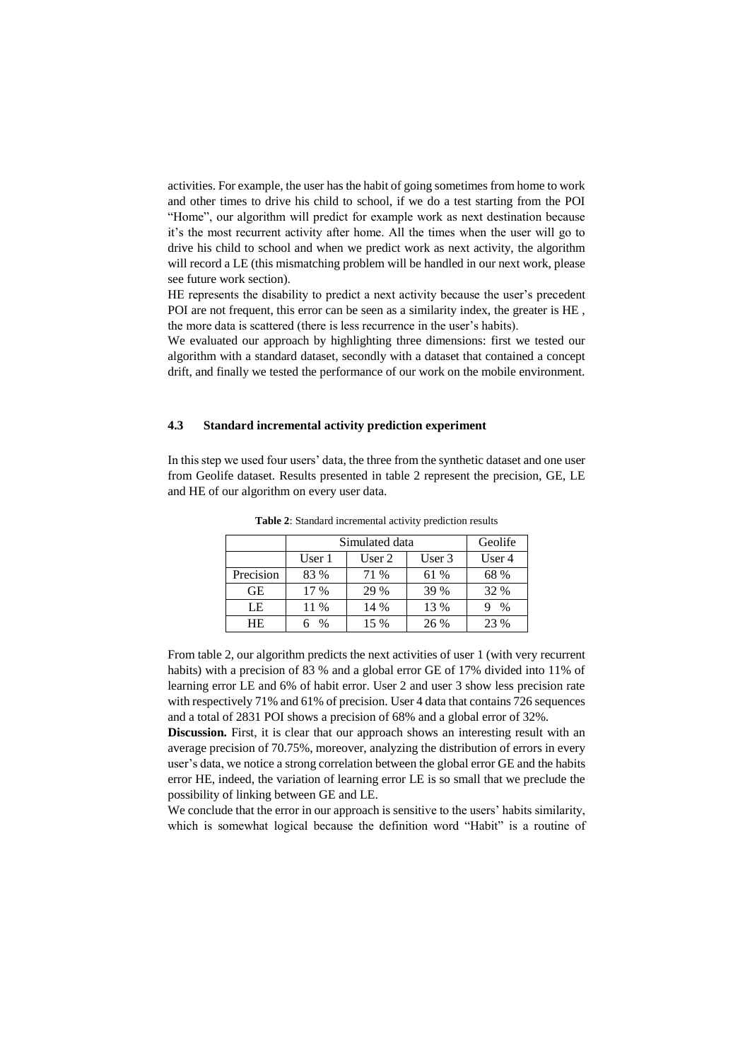activities. For example, the user has the habit of going sometimes from home to work and other times to drive his child to school, if we do a test starting from the POI "Home", our algorithm will predict for example work as next destination because it's the most recurrent activity after home. All the times when the user will go to drive his child to school and when we predict work as next activity, the algorithm will record a LE (this mismatching problem will be handled in our next work, please see future work section).

HE represents the disability to predict a next activity because the user's precedent POI are not frequent, this error can be seen as a similarity index, the greater is HE , the more data is scattered (there is less recurrence in the user's habits).

We evaluated our approach by highlighting three dimensions: first we tested our algorithm with a standard dataset, secondly with a dataset that contained a concept drift, and finally we tested the performance of our work on the mobile environment.

#### **4.3 Standard incremental activity prediction experiment**

In this step we used four users' data, the three from the synthetic dataset and one user from Geolife dataset. Results presented in table 2 represent the precision, GE, LE and HE of our algorithm on every user data.

|           | Simulated data |        |        | Geolife     |
|-----------|----------------|--------|--------|-------------|
|           | User 1         | User 2 | User 3 | User 4      |
| Precision | 83 %           | 71 %   | 61 %   | 68 %        |
| GE.       | 17 %           | 29 %   | 39 %   | <b>32 %</b> |
| LE        | 11 %           | 14 %   | 13 %   | $\%$        |
| HE.       | %              | 15 %   | 26 %   | 23 %        |

**Table 2**: Standard incremental activity prediction results

From table 2, our algorithm predicts the next activities of user 1 (with very recurrent habits) with a precision of 83 % and a global error GE of 17% divided into 11% of learning error LE and 6% of habit error. User 2 and user 3 show less precision rate with respectively 71% and 61% of precision. User 4 data that contains 726 sequences and a total of 2831 POI shows a precision of 68% and a global error of 32%.

**Discussion.** First, it is clear that our approach shows an interesting result with an average precision of 70.75%, moreover, analyzing the distribution of errors in every user's data, we notice a strong correlation between the global error GE and the habits error HE, indeed, the variation of learning error LE is so small that we preclude the possibility of linking between GE and LE.

We conclude that the error in our approach is sensitive to the users' habits similarity, which is somewhat logical because the definition word "Habit" is a routine of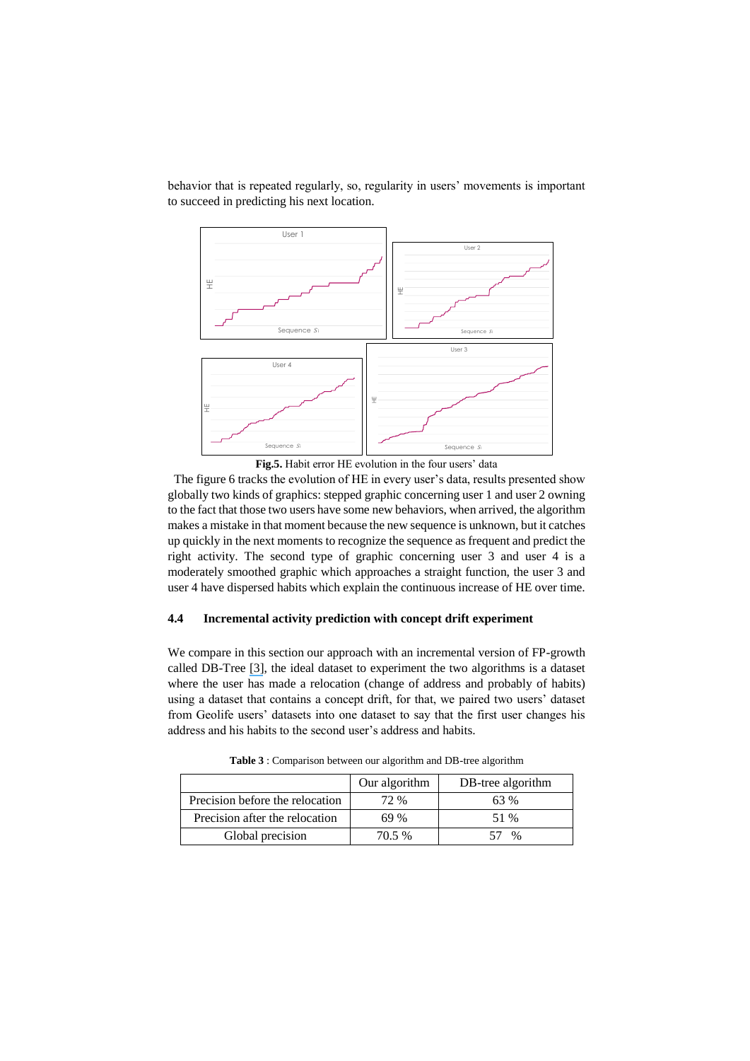

behavior that is repeated regularly, so, regularity in users' movements is important to succeed in predicting his next location.

**Fig.5.** Habit error HE evolution in the four users' data

The figure 6 tracks the evolution of HE in every user's data, results presented show globally two kinds of graphics: stepped graphic concerning user 1 and user 2 owning to the fact that those two users have some new behaviors, when arrived, the algorithm makes a mistake in that moment because the new sequence is unknown, but it catches up quickly in the next moments to recognize the sequence as frequent and predict the right activity. The second type of graphic concerning user 3 and user 4 is a moderately smoothed graphic which approaches a straight function, the user 3 and user 4 have dispersed habits which explain the continuous increase of HE over time.

### **4.4 Incremental activity prediction with concept drift experiment**

We compare in this section our approach with an incremental version of FP-growth called DB-Tree [\[3\]](https://www.researchgate.net/publication/221442206_Mining_Incremental_Association_Rules_with_Generalized_FP-Tree?el=1_x_8&enrichId=rgreq-84b1dba1-a050-4949-a61e-a7636a69295b&enrichSource=Y292ZXJQYWdlOzI4MTU2MjY4NTtBUzoyNzEyMjM3NjI0NTI0OTFAMTQ0MTY3NjE5Mjc2MA==), the ideal dataset to experiment the two algorithms is a dataset where the user has made a relocation (change of address and probably of habits) using a dataset that contains a concept drift, for that, we paired two users' dataset from Geolife users' datasets into one dataset to say that the first user changes his address and his habits to the second user's address and habits.

|                                 | Our algorithm | DB-tree algorithm |
|---------------------------------|---------------|-------------------|
| Precision before the relocation | 72 %          | 63 %              |
| Precision after the relocation  | 69 %          | 51 %              |
| Global precision                | 70.5 %        | $\%$              |

**Table 3** : Comparison between our algorithm and DB-tree algorithm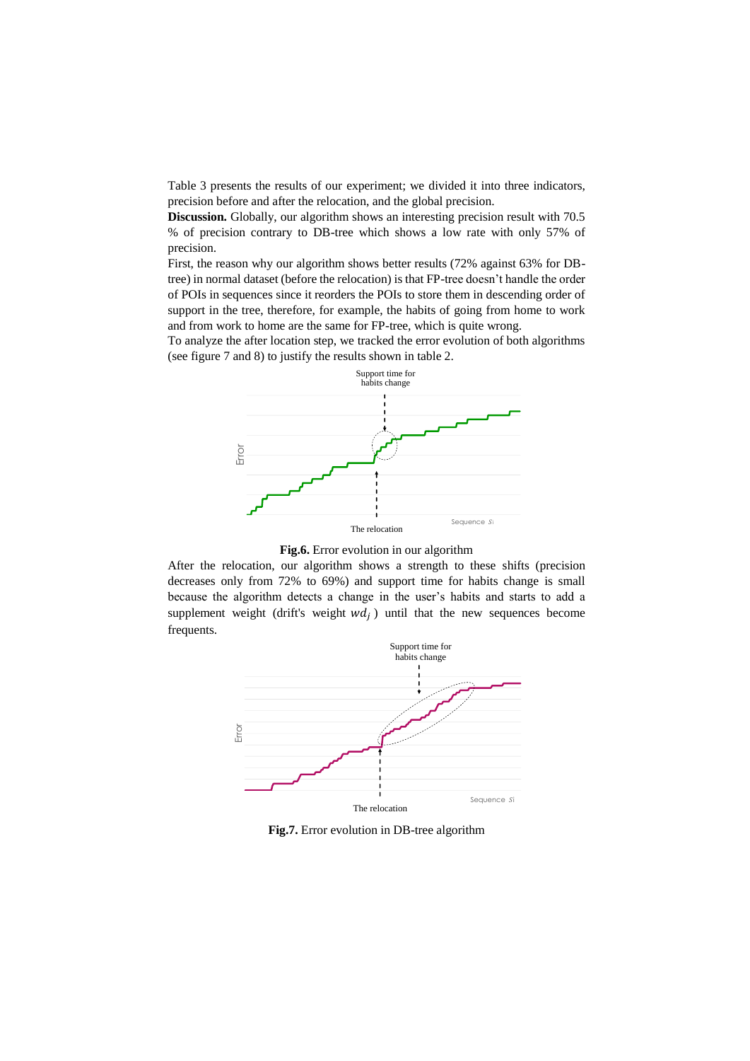Table 3 presents the results of our experiment; we divided it into three indicators, precision before and after the relocation, and the global precision.

**Discussion.** Globally, our algorithm shows an interesting precision result with 70.5 % of precision contrary to DB-tree which shows a low rate with only 57% of precision.

First, the reason why our algorithm shows better results (72% against 63% for DBtree) in normal dataset (before the relocation) is that FP-tree doesn't handle the order of POIs in sequences since it reorders the POIs to store them in descending order of support in the tree, therefore, for example, the habits of going from home to work and from work to home are the same for FP-tree, which is quite wrong.

To analyze the after location step, we tracked the error evolution of both algorithms (see figure 7 and 8) to justify the results shown in table 2.



**Fig.6.** Error evolution in our algorithm

After the relocation, our algorithm shows a strength to these shifts (precision decreases only from 72% to 69%) and support time for habits change is small because the algorithm detects a change in the user's habits and starts to add a supplement weight (drift's weight  $wd_j$ ) until that the new sequences become frequents.

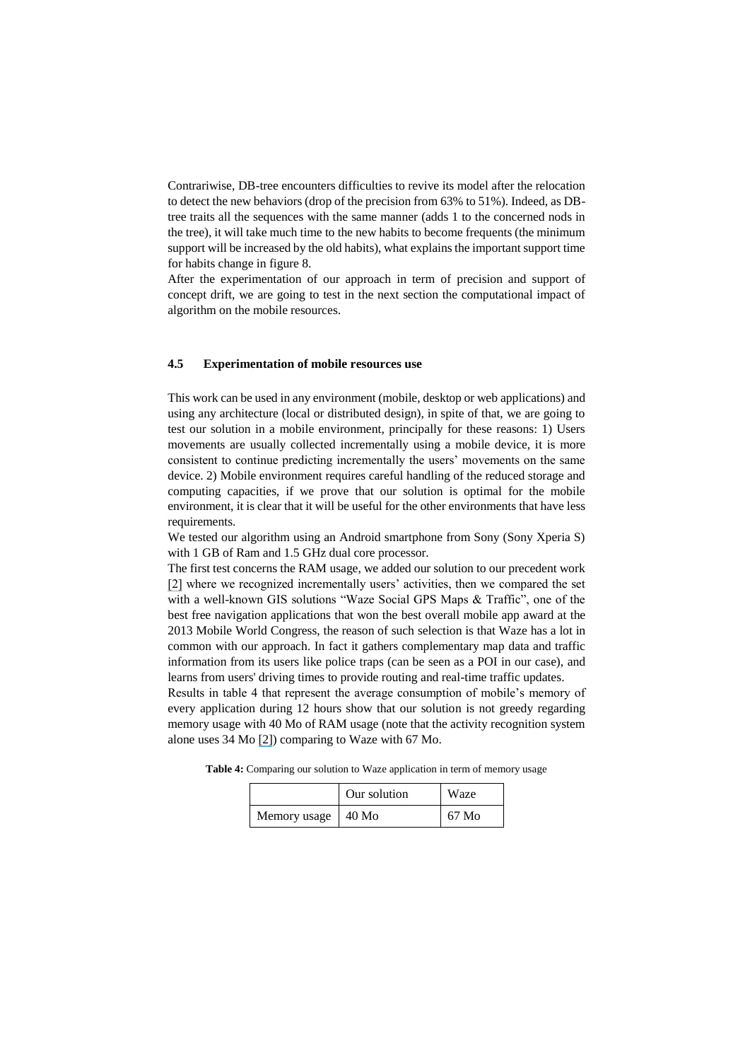Contrariwise, DB-tree encounters difficulties to revive its model after the relocation to detect the new behaviors (drop of the precision from 63% to 51%). Indeed, as DBtree traits all the sequences with the same manner (adds 1 to the concerned nods in the tree), it will take much time to the new habits to become frequents (the minimum support will be increased by the old habits), what explains the important support time for habits change in figure 8.

After the experimentation of our approach in term of precision and support of concept drift, we are going to test in the next section the computational impact of algorithm on the mobile resources.

#### **4.5 Experimentation of mobile resources use**

This work can be used in any environment (mobile, desktop or web applications) and using any architecture (local or distributed design), in spite of that, we are going to test our solution in a mobile environment, principally for these reasons: 1) Users movements are usually collected incrementally using a mobile device, it is more consistent to continue predicting incrementally the users' movements on the same device. 2) Mobile environment requires careful handling of the reduced storage and computing capacities, if we prove that our solution is optimal for the mobile environment, it is clear that it will be useful for the other environments that have less requirements.

We tested our algorithm using an Android smartphone from Sony (Sony Xperia S) with 1 GB of Ram and 1.5 GHz dual core processor.

The first test concerns the RAM usage, we added our solution to our precedent work [\[2\]](https://www.researchgate.net/publication/275274206_Online_recognition_of_people) where we recognized incrementally users' activities, then we compared the set with a well-known GIS solutions "Waze Social GPS Maps & Traffic", one of the best free navigation applications that won the best overall mobile app award at the 2013 Mobile World Congress, the reason of such selection is that Waze has a lot in common with our approach. In fact it gathers complementary map data and traffic information from its users like police traps (can be seen as a POI in our case), and learns from users' driving times to provide routing and real-time traffic updates.

Results in table 4 that represent the average consumption of mobile's memory of every application during 12 hours show that our solution is not greedy regarding memory usage with 40 Mo of RAM usage (note that the activity recognition system alone uses 34 Mo [\[2\]](https://www.researchgate.net/publication/275274206_Online_recognition_of_people)) comparing to Waze with 67 Mo.

**Table 4:** Comparing our solution to Waze application in term of memory usage

|                            | Our solution | Waze  |
|----------------------------|--------------|-------|
| Memory usage $\vert$ 40 Mo |              | 67 Mo |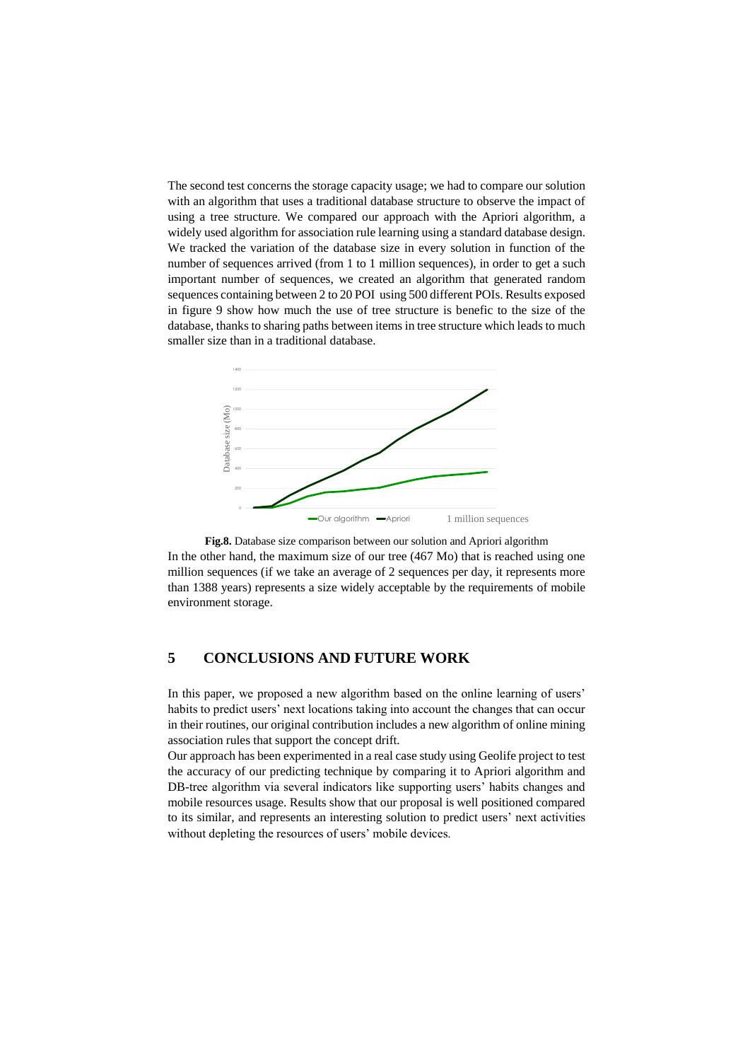The second test concerns the storage capacity usage; we had to compare our solution with an algorithm that uses a traditional database structure to observe the impact of using a tree structure. We compared our approach with the Apriori algorithm, a widely used algorithm for association rule learning using a standard database design. We tracked the variation of the database size in every solution in function of the number of sequences arrived (from 1 to 1 million sequences), in order to get a such important number of sequences, we created an algorithm that generated random sequences containing between 2 to 20 POI using 500 different POIs. Results exposed in figure 9 show how much the use of tree structure is benefic to the size of the database, thanks to sharing paths between items in tree structure which leads to much smaller size than in a traditional database.



**Fig.8.** Database size comparison between our solution and Apriori algorithm In the other hand, the maximum size of our tree (467 Mo) that is reached using one million sequences (if we take an average of 2 sequences per day, it represents more than 1388 years) represents a size widely acceptable by the requirements of mobile environment storage.

## **5 CONCLUSIONS AND FUTURE WORK**

In this paper, we proposed a new algorithm based on the online learning of users' habits to predict users' next locations taking into account the changes that can occur in their routines, our original contribution includes a new algorithm of online mining association rules that support the concept drift.

Our approach has been experimented in a real case study using Geolife project to test the accuracy of our predicting technique by comparing it to Apriori algorithm and DB-tree algorithm via several indicators like supporting users' habits changes and mobile resources usage. Results show that our proposal is well positioned compared to its similar, and represents an interesting solution to predict users' next activities without depleting the resources of users' mobile devices.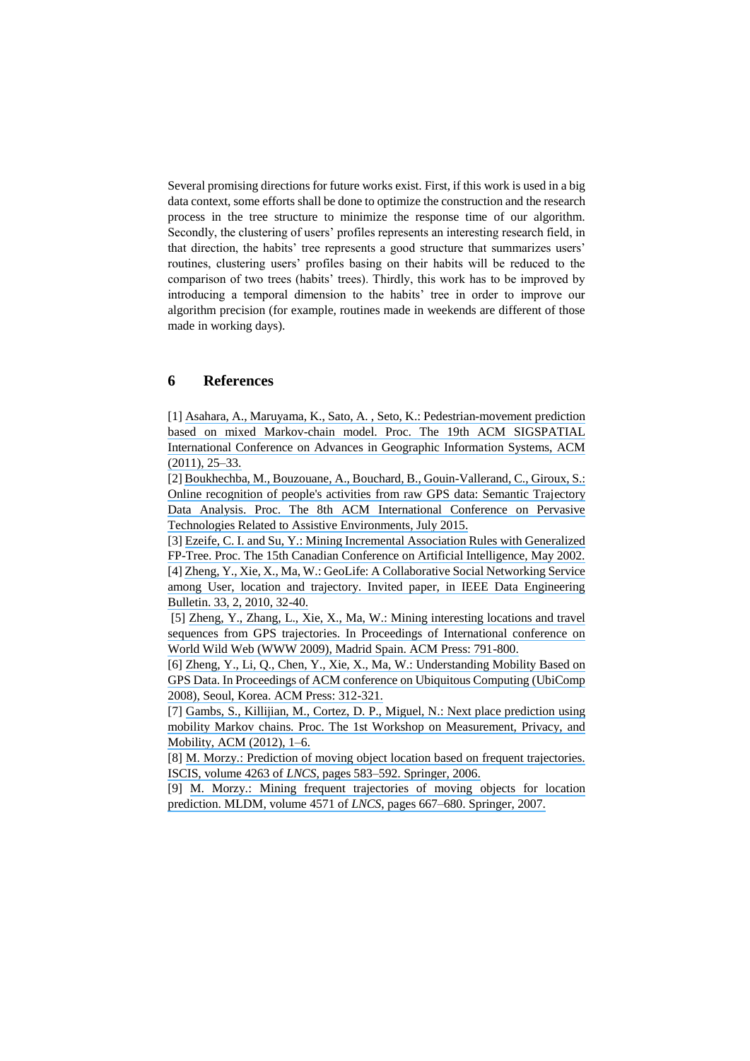Several promising directions for future works exist. First, if this work is used in a big data context, some efforts shall be done to optimize the construction and the research process in the tree structure to minimize the response time of our algorithm. Secondly, the clustering of users' profiles represents an interesting research field, in that direction, the habits' tree represents a good structure that summarizes users' routines, clustering users' profiles basing on their habits will be reduced to the comparison of two trees (habits' trees). Thirdly, this work has to be improved by introducing a temporal dimension to the habits' tree in order to improve our algorithm precision (for example, routines made in weekends are different of those made in working days).

## **6 References**

[1] Asahara, A., Maruyama, K., Sato, A. , Seto, K.: [Pedestrian-movement prediction](https://www.researchgate.net/publication/221589403_Pedestrian-movement_prediction_based_on_mixed_Markov-chain_model?el=1_x_8&enrichId=rgreq-84b1dba1-a050-4949-a61e-a7636a69295b&enrichSource=Y292ZXJQYWdlOzI4MTU2MjY4NTtBUzoyNzEyMjM3NjI0NTI0OTFAMTQ0MTY3NjE5Mjc2MA==)  [based on mixed Markov-chain model. Proc. The 19th ACM SIGSPATIAL](https://www.researchgate.net/publication/221589403_Pedestrian-movement_prediction_based_on_mixed_Markov-chain_model?el=1_x_8&enrichId=rgreq-84b1dba1-a050-4949-a61e-a7636a69295b&enrichSource=Y292ZXJQYWdlOzI4MTU2MjY4NTtBUzoyNzEyMjM3NjI0NTI0OTFAMTQ0MTY3NjE5Mjc2MA==)  [International Conference on Advances in Geographic Information Systems, ACM](https://www.researchgate.net/publication/221589403_Pedestrian-movement_prediction_based_on_mixed_Markov-chain_model?el=1_x_8&enrichId=rgreq-84b1dba1-a050-4949-a61e-a7636a69295b&enrichSource=Y292ZXJQYWdlOzI4MTU2MjY4NTtBUzoyNzEyMjM3NjI0NTI0OTFAMTQ0MTY3NjE5Mjc2MA==)  [\(2011\), 25–33.](https://www.researchgate.net/publication/221589403_Pedestrian-movement_prediction_based_on_mixed_Markov-chain_model?el=1_x_8&enrichId=rgreq-84b1dba1-a050-4949-a61e-a7636a69295b&enrichSource=Y292ZXJQYWdlOzI4MTU2MjY4NTtBUzoyNzEyMjM3NjI0NTI0OTFAMTQ0MTY3NjE5Mjc2MA==)

[2] [Boukhechba, M., Bouzouane, A., Bouchard, B., Gouin-Vallerand,](https://www.researchgate.net/publication/275274206_Online_recognition_of_people) C., Giroux, S.: [Online recognition of people's activities from raw GPS data: Semantic Trajectory](https://www.researchgate.net/publication/275274206_Online_recognition_of_people)  [Data Analysis. Proc. The 8th ACM International Conference on Pervasive](https://www.researchgate.net/publication/275274206_Online_recognition_of_people)  [Technologies Related to Assistive Environments, July 2015.](https://www.researchgate.net/publication/275274206_Online_recognition_of_people) 

[3] Ezeife, C. I. and Su, Y.: [Mining Incremental Association Rules with Generalized](https://www.researchgate.net/publication/221442206_Mining_Incremental_Association_Rules_with_Generalized_FP-Tree?el=1_x_8&enrichId=rgreq-84b1dba1-a050-4949-a61e-a7636a69295b&enrichSource=Y292ZXJQYWdlOzI4MTU2MjY4NTtBUzoyNzEyMjM3NjI0NTI0OTFAMTQ0MTY3NjE5Mjc2MA==)  [FP-Tree. Proc. The 15th Canadian Conference on Artificial Intelligence, May 2002.](https://www.researchgate.net/publication/221442206_Mining_Incremental_Association_Rules_with_Generalized_FP-Tree?el=1_x_8&enrichId=rgreq-84b1dba1-a050-4949-a61e-a7636a69295b&enrichSource=Y292ZXJQYWdlOzI4MTU2MjY4NTtBUzoyNzEyMjM3NjI0NTI0OTFAMTQ0MTY3NjE5Mjc2MA==) [4] Zheng, Y., Xie, X., Ma, W.: [GeoLife: A Collaborative Social Networking Service](https://www.researchgate.net/publication/220282575_GeoLife_A_Collaborative_Social_Networking_Service_among_User_Location_and_Trajectory?el=1_x_8&enrichId=rgreq-84b1dba1-a050-4949-a61e-a7636a69295b&enrichSource=Y292ZXJQYWdlOzI4MTU2MjY4NTtBUzoyNzEyMjM3NjI0NTI0OTFAMTQ0MTY3NjE5Mjc2MA==)  [among User, location and trajectory. Invited paper, in IEEE Data Engineering](https://www.researchgate.net/publication/220282575_GeoLife_A_Collaborative_Social_Networking_Service_among_User_Location_and_Trajectory?el=1_x_8&enrichId=rgreq-84b1dba1-a050-4949-a61e-a7636a69295b&enrichSource=Y292ZXJQYWdlOzI4MTU2MjY4NTtBUzoyNzEyMjM3NjI0NTI0OTFAMTQ0MTY3NjE5Mjc2MA==)  [Bulletin. 33, 2, 2010, 32-40.](https://www.researchgate.net/publication/220282575_GeoLife_A_Collaborative_Social_Networking_Service_among_User_Location_and_Trajectory?el=1_x_8&enrichId=rgreq-84b1dba1-a050-4949-a61e-a7636a69295b&enrichSource=Y292ZXJQYWdlOzI4MTU2MjY4NTtBUzoyNzEyMjM3NjI0NTI0OTFAMTQ0MTY3NjE5Mjc2MA==)

[5] Zheng, Y., Zhang, L., Xie, X., Ma, W.: [Mining interesting locations and travel](https://www.researchgate.net/publication/221023633_Mining_interesting_locations_and_travel_sequences_from_GPS_trajectories_In_Proceedings_of_WWW?el=1_x_8&enrichId=rgreq-84b1dba1-a050-4949-a61e-a7636a69295b&enrichSource=Y292ZXJQYWdlOzI4MTU2MjY4NTtBUzoyNzEyMjM3NjI0NTI0OTFAMTQ0MTY3NjE5Mjc2MA==)  [sequences from GPS trajectories. In Proceedings of International conference on](https://www.researchgate.net/publication/221023633_Mining_interesting_locations_and_travel_sequences_from_GPS_trajectories_In_Proceedings_of_WWW?el=1_x_8&enrichId=rgreq-84b1dba1-a050-4949-a61e-a7636a69295b&enrichSource=Y292ZXJQYWdlOzI4MTU2MjY4NTtBUzoyNzEyMjM3NjI0NTI0OTFAMTQ0MTY3NjE5Mjc2MA==)  [World Wild Web \(WWW 2009\), Madrid Spain. ACM Press: 791-800.](https://www.researchgate.net/publication/221023633_Mining_interesting_locations_and_travel_sequences_from_GPS_trajectories_In_Proceedings_of_WWW?el=1_x_8&enrichId=rgreq-84b1dba1-a050-4949-a61e-a7636a69295b&enrichSource=Y292ZXJQYWdlOzI4MTU2MjY4NTtBUzoyNzEyMjM3NjI0NTI0OTFAMTQ0MTY3NjE5Mjc2MA==) 

[6] Zheng, Y., Li, Q., Chen, Y., Xie, X., Ma, W.: [Understanding Mobility Based on](https://www.researchgate.net/publication/221568449_Understanding_mobility_based_on_GPS_data?el=1_x_8&enrichId=rgreq-84b1dba1-a050-4949-a61e-a7636a69295b&enrichSource=Y292ZXJQYWdlOzI4MTU2MjY4NTtBUzoyNzEyMjM3NjI0NTI0OTFAMTQ0MTY3NjE5Mjc2MA==)  [GPS Data. In Proceedings of ACM conference on Ubiquitous Computing \(UbiComp](https://www.researchgate.net/publication/221568449_Understanding_mobility_based_on_GPS_data?el=1_x_8&enrichId=rgreq-84b1dba1-a050-4949-a61e-a7636a69295b&enrichSource=Y292ZXJQYWdlOzI4MTU2MjY4NTtBUzoyNzEyMjM3NjI0NTI0OTFAMTQ0MTY3NjE5Mjc2MA==)  [2008\), Seoul, Korea. ACM Press: 312-321.](https://www.researchgate.net/publication/221568449_Understanding_mobility_based_on_GPS_data?el=1_x_8&enrichId=rgreq-84b1dba1-a050-4949-a61e-a7636a69295b&enrichSource=Y292ZXJQYWdlOzI4MTU2MjY4NTtBUzoyNzEyMjM3NjI0NTI0OTFAMTQ0MTY3NjE5Mjc2MA==)

[7] [Gambs, S., Killijian, M., Cortez, D. P., Miguel, N.:](https://www.researchgate.net/publication/234720429_Next_Place_Prediction_using_Mobility_Markov_Chains?el=1_x_8&enrichId=rgreq-84b1dba1-a050-4949-a61e-a7636a69295b&enrichSource=Y292ZXJQYWdlOzI4MTU2MjY4NTtBUzoyNzEyMjM3NjI0NTI0OTFAMTQ0MTY3NjE5Mjc2MA==) Next place prediction using [mobility Markov chains. Proc. The 1st Workshop on Measurement, Privacy, and](https://www.researchgate.net/publication/234720429_Next_Place_Prediction_using_Mobility_Markov_Chains?el=1_x_8&enrichId=rgreq-84b1dba1-a050-4949-a61e-a7636a69295b&enrichSource=Y292ZXJQYWdlOzI4MTU2MjY4NTtBUzoyNzEyMjM3NjI0NTI0OTFAMTQ0MTY3NjE5Mjc2MA==)  [Mobility, ACM \(2012\), 1–6.](https://www.researchgate.net/publication/234720429_Next_Place_Prediction_using_Mobility_Markov_Chains?el=1_x_8&enrichId=rgreq-84b1dba1-a050-4949-a61e-a7636a69295b&enrichSource=Y292ZXJQYWdlOzI4MTU2MjY4NTtBUzoyNzEyMjM3NjI0NTI0OTFAMTQ0MTY3NjE5Mjc2MA==)

[8] M. Morzy.: [Prediction of moving object location based on frequent trajectories.](https://www.researchgate.net/publication/221579244_Prediction_of_Moving_Object_Location_Based_on_Frequent_Trajectories?el=1_x_8&enrichId=rgreq-84b1dba1-a050-4949-a61e-a7636a69295b&enrichSource=Y292ZXJQYWdlOzI4MTU2MjY4NTtBUzoyNzEyMjM3NjI0NTI0OTFAMTQ0MTY3NjE5Mjc2MA==)  ISCIS, volume 4263 of *LNCS*[, pages 583–592. Springer, 2006.](https://www.researchgate.net/publication/221579244_Prediction_of_Moving_Object_Location_Based_on_Frequent_Trajectories?el=1_x_8&enrichId=rgreq-84b1dba1-a050-4949-a61e-a7636a69295b&enrichSource=Y292ZXJQYWdlOzI4MTU2MjY4NTtBUzoyNzEyMjM3NjI0NTI0OTFAMTQ0MTY3NjE5Mjc2MA==)

[9] M. Morzy.: [Mining frequent trajectories of moving objects for location](https://www.researchgate.net/publication/221506440_Mining_Frequent_Trajectories_of_Moving_Objects_for_Location_Prediction?el=1_x_8&enrichId=rgreq-84b1dba1-a050-4949-a61e-a7636a69295b&enrichSource=Y292ZXJQYWdlOzI4MTU2MjY4NTtBUzoyNzEyMjM3NjI0NTI0OTFAMTQ0MTY3NjE5Mjc2MA==)  [prediction. MLDM, volume 4571 of](https://www.researchgate.net/publication/221506440_Mining_Frequent_Trajectories_of_Moving_Objects_for_Location_Prediction?el=1_x_8&enrichId=rgreq-84b1dba1-a050-4949-a61e-a7636a69295b&enrichSource=Y292ZXJQYWdlOzI4MTU2MjY4NTtBUzoyNzEyMjM3NjI0NTI0OTFAMTQ0MTY3NjE5Mjc2MA==) *LNCS*, pages 667–680. Springer, 2007.